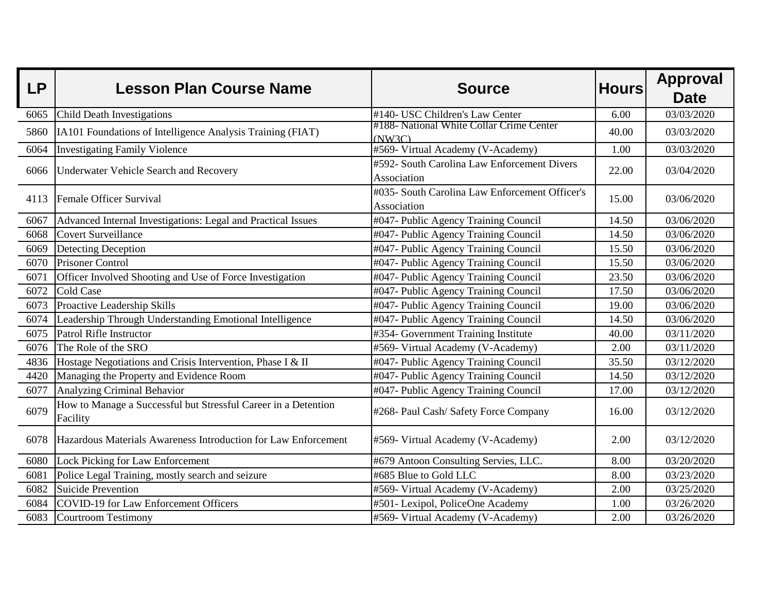| <b>LP</b> | <b>Lesson Plan Course Name</b>                                             | <b>Source</b>                                                 | <b>Hours</b> | <b>Approval</b><br><b>Date</b> |
|-----------|----------------------------------------------------------------------------|---------------------------------------------------------------|--------------|--------------------------------|
| 6065      | <b>Child Death Investigations</b>                                          | #140- USC Children's Law Center                               | 6.00         | 03/03/2020                     |
| 5860      | IA101 Foundations of Intelligence Analysis Training (FIAT)                 | #188- National White Collar Crime Center<br>(NW3C)            | 40.00        | 03/03/2020                     |
| 6064      | <b>Investigating Family Violence</b>                                       | #569- Virtual Academy (V-Academy)                             | 1.00         | 03/03/2020                     |
| 6066      | <b>Underwater Vehicle Search and Recovery</b>                              | #592- South Carolina Law Enforcement Divers<br>Association    | 22.00        | 03/04/2020                     |
| 4113      | Female Officer Survival                                                    | #035- South Carolina Law Enforcement Officer's<br>Association | 15.00        | 03/06/2020                     |
| 6067      | Advanced Internal Investigations: Legal and Practical Issues               | #047- Public Agency Training Council                          | 14.50        | 03/06/2020                     |
| 6068      | Covert Surveillance                                                        | #047- Public Agency Training Council                          | 14.50        | 03/06/2020                     |
| 6069      | Detecting Deception                                                        | #047- Public Agency Training Council                          | 15.50        | 03/06/2020                     |
| 6070      | <b>Prisoner Control</b>                                                    | #047- Public Agency Training Council                          | 15.50        | 03/06/2020                     |
| 6071      | Officer Involved Shooting and Use of Force Investigation                   | #047- Public Agency Training Council                          | 23.50        | 03/06/2020                     |
| 6072      | Cold Case                                                                  | #047- Public Agency Training Council                          | 17.50        | 03/06/2020                     |
| 6073      | Proactive Leadership Skills                                                | #047- Public Agency Training Council                          | 19.00        | 03/06/2020                     |
| 6074      | Leadership Through Understanding Emotional Intelligence                    | #047- Public Agency Training Council                          | 14.50        | 03/06/2020                     |
| 6075      | Patrol Rifle Instructor                                                    | #354- Government Training Institute                           | 40.00        | 03/11/2020                     |
| 6076      | The Role of the SRO                                                        | #569- Virtual Academy (V-Academy)                             | 2.00         | 03/11/2020                     |
| 4836      | Hostage Negotiations and Crisis Intervention, Phase I & II                 | #047- Public Agency Training Council                          | 35.50        | 03/12/2020                     |
| 4420      | Managing the Property and Evidence Room                                    | #047- Public Agency Training Council                          | 14.50        | 03/12/2020                     |
| 6077      | <b>Analyzing Criminal Behavior</b>                                         | #047- Public Agency Training Council                          | 17.00        | 03/12/2020                     |
| 6079      | How to Manage a Successful but Stressful Career in a Detention<br>Facility | #268- Paul Cash/ Safety Force Company                         | 16.00        | 03/12/2020                     |
| 6078      | Hazardous Materials Awareness Introduction for Law Enforcement             | #569- Virtual Academy (V-Academy)                             | 2.00         | 03/12/2020                     |
| 6080      | Lock Picking for Law Enforcement                                           | #679 Antoon Consulting Servies, LLC.                          | 8.00         | 03/20/2020                     |
| 6081      | Police Legal Training, mostly search and seizure                           | #685 Blue to Gold LLC                                         | 8.00         | 03/23/2020                     |
| 6082      | Suicide Prevention                                                         | #569- Virtual Academy (V-Academy)                             | 2.00         | 03/25/2020                     |
| 6084      | COVID-19 for Law Enforcement Officers                                      | #501- Lexipol, PoliceOne Academy                              | 1.00         | 03/26/2020                     |
| 6083      | Courtroom Testimony                                                        | #569- Virtual Academy (V-Academy)                             | 2.00         | 03/26/2020                     |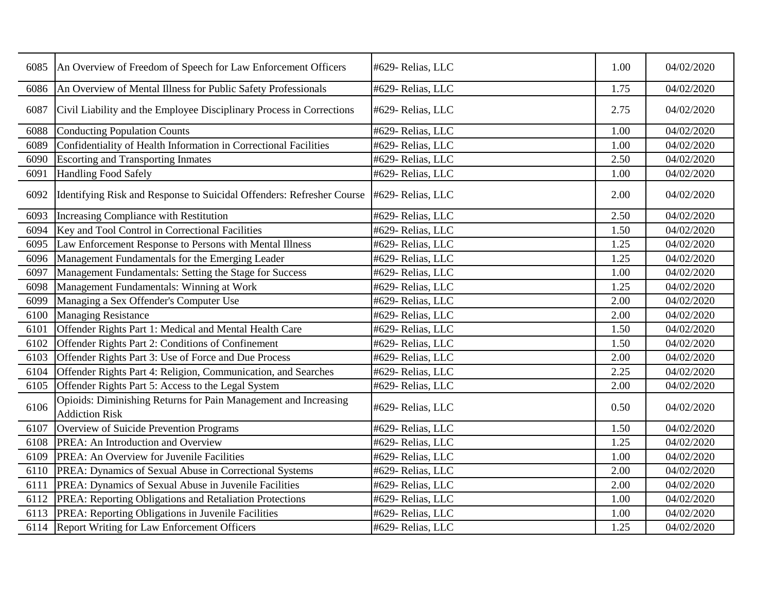| 6085 | An Overview of Freedom of Speech for Law Enforcement Officers                            | #629- Relias, LLC | 1.00 | 04/02/2020 |
|------|------------------------------------------------------------------------------------------|-------------------|------|------------|
| 6086 | An Overview of Mental Illness for Public Safety Professionals                            | #629- Relias, LLC | 1.75 | 04/02/2020 |
| 6087 | Civil Liability and the Employee Disciplinary Process in Corrections                     | #629- Relias, LLC | 2.75 | 04/02/2020 |
| 6088 | Conducting Population Counts                                                             | #629- Relias, LLC | 1.00 | 04/02/2020 |
| 6089 | Confidentiality of Health Information in Correctional Facilities                         | #629- Relias, LLC | 1.00 | 04/02/2020 |
| 6090 | <b>Escorting and Transporting Inmates</b>                                                | #629- Relias, LLC | 2.50 | 04/02/2020 |
| 6091 | <b>Handling Food Safely</b>                                                              | #629- Relias, LLC | 1.00 | 04/02/2020 |
| 6092 | Identifying Risk and Response to Suicidal Offenders: Refresher Course                    | #629- Relias, LLC | 2.00 | 04/02/2020 |
| 6093 | Increasing Compliance with Restitution                                                   | #629- Relias, LLC | 2.50 | 04/02/2020 |
| 6094 | Key and Tool Control in Correctional Facilities                                          | #629- Relias, LLC | 1.50 | 04/02/2020 |
| 6095 | Law Enforcement Response to Persons with Mental Illness                                  | #629- Relias, LLC | 1.25 | 04/02/2020 |
| 6096 | Management Fundamentals for the Emerging Leader                                          | #629- Relias, LLC | 1.25 | 04/02/2020 |
| 6097 | Management Fundamentals: Setting the Stage for Success                                   | #629- Relias, LLC | 1.00 | 04/02/2020 |
| 6098 | Management Fundamentals: Winning at Work                                                 | #629- Relias, LLC | 1.25 | 04/02/2020 |
| 6099 | Managing a Sex Offender's Computer Use                                                   | #629- Relias, LLC | 2.00 | 04/02/2020 |
| 6100 | <b>Managing Resistance</b>                                                               | #629- Relias, LLC | 2.00 | 04/02/2020 |
| 6101 | Offender Rights Part 1: Medical and Mental Health Care                                   | #629- Relias, LLC | 1.50 | 04/02/2020 |
| 6102 | Offender Rights Part 2: Conditions of Confinement                                        | #629- Relias, LLC | 1.50 | 04/02/2020 |
| 6103 | Offender Rights Part 3: Use of Force and Due Process                                     | #629- Relias, LLC | 2.00 | 04/02/2020 |
| 6104 | Offender Rights Part 4: Religion, Communication, and Searches                            | #629- Relias, LLC | 2.25 | 04/02/2020 |
| 6105 | Offender Rights Part 5: Access to the Legal System                                       | #629- Relias, LLC | 2.00 | 04/02/2020 |
| 6106 | Opioids: Diminishing Returns for Pain Management and Increasing<br><b>Addiction Risk</b> | #629- Relias, LLC | 0.50 | 04/02/2020 |
| 6107 | Overview of Suicide Prevention Programs                                                  | #629- Relias, LLC | 1.50 | 04/02/2020 |
| 6108 | PREA: An Introduction and Overview                                                       | #629- Relias, LLC | 1.25 | 04/02/2020 |
| 6109 | PREA: An Overview for Juvenile Facilities                                                | #629- Relias, LLC | 1.00 | 04/02/2020 |
| 6110 | PREA: Dynamics of Sexual Abuse in Correctional Systems                                   | #629- Relias, LLC | 2.00 | 04/02/2020 |
| 6111 | PREA: Dynamics of Sexual Abuse in Juvenile Facilities                                    | #629- Relias, LLC | 2.00 | 04/02/2020 |
| 6112 | PREA: Reporting Obligations and Retaliation Protections                                  | #629- Relias, LLC | 1.00 | 04/02/2020 |
| 6113 | PREA: Reporting Obligations in Juvenile Facilities                                       | #629- Relias, LLC | 1.00 | 04/02/2020 |
|      | 6114 Report Writing for Law Enforcement Officers                                         | #629- Relias, LLC | 1.25 | 04/02/2020 |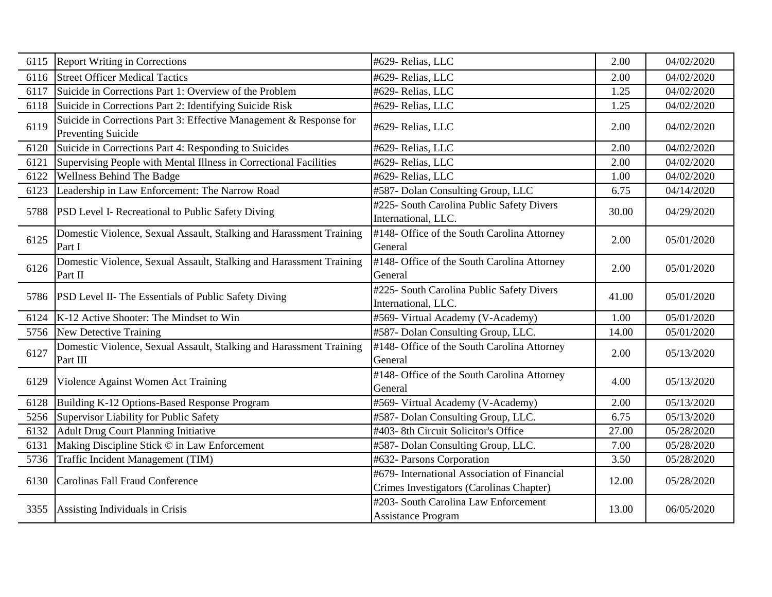| 6115 | <b>Report Writing in Corrections</b>                                                            | #629- Relias, LLC                                                                        | 2.00  | 04/02/2020 |
|------|-------------------------------------------------------------------------------------------------|------------------------------------------------------------------------------------------|-------|------------|
| 6116 | <b>Street Officer Medical Tactics</b>                                                           | #629- Relias, LLC                                                                        | 2.00  | 04/02/2020 |
| 6117 | Suicide in Corrections Part 1: Overview of the Problem                                          | #629- Relias, LLC                                                                        | 1.25  | 04/02/2020 |
| 6118 | Suicide in Corrections Part 2: Identifying Suicide Risk                                         | #629- Relias, LLC                                                                        | 1.25  | 04/02/2020 |
| 6119 | Suicide in Corrections Part 3: Effective Management & Response for<br><b>Preventing Suicide</b> | #629- Relias, LLC                                                                        | 2.00  | 04/02/2020 |
| 6120 | Suicide in Corrections Part 4: Responding to Suicides                                           | #629- Relias, LLC                                                                        | 2.00  | 04/02/2020 |
| 6121 | Supervising People with Mental Illness in Correctional Facilities                               | #629- Relias, LLC                                                                        | 2.00  | 04/02/2020 |
| 6122 | <b>Wellness Behind The Badge</b>                                                                | #629- Relias, LLC                                                                        | 1.00  | 04/02/2020 |
| 6123 | Leadership in Law Enforcement: The Narrow Road                                                  | #587- Dolan Consulting Group, LLC                                                        | 6.75  | 04/14/2020 |
| 5788 | <b>PSD Level I- Recreational to Public Safety Diving</b>                                        | #225- South Carolina Public Safety Divers<br>International, LLC.                         | 30.00 | 04/29/2020 |
| 6125 | Domestic Violence, Sexual Assault, Stalking and Harassment Training<br>Part I                   | #148- Office of the South Carolina Attorney<br>General                                   | 2.00  | 05/01/2020 |
| 6126 | Domestic Violence, Sexual Assault, Stalking and Harassment Training<br>Part II                  | #148- Office of the South Carolina Attorney<br>General                                   | 2.00  | 05/01/2020 |
| 5786 | PSD Level II- The Essentials of Public Safety Diving                                            | #225- South Carolina Public Safety Divers<br>International, LLC.                         | 41.00 | 05/01/2020 |
| 6124 | K-12 Active Shooter: The Mindset to Win                                                         | #569- Virtual Academy (V-Academy)                                                        | 1.00  | 05/01/2020 |
| 5756 | New Detective Training                                                                          | #587- Dolan Consulting Group, LLC.                                                       | 14.00 | 05/01/2020 |
| 6127 | Domestic Violence, Sexual Assault, Stalking and Harassment Training<br>Part III                 | #148- Office of the South Carolina Attorney<br>General                                   | 2.00  | 05/13/2020 |
| 6129 | Violence Against Women Act Training                                                             | #148- Office of the South Carolina Attorney<br>General                                   | 4.00  | 05/13/2020 |
| 6128 | Building K-12 Options-Based Response Program                                                    | #569- Virtual Academy (V-Academy)                                                        | 2.00  | 05/13/2020 |
| 5256 | Supervisor Liability for Public Safety                                                          | #587- Dolan Consulting Group, LLC.                                                       | 6.75  | 05/13/2020 |
| 6132 | Adult Drug Court Planning Initiative                                                            | #403-8th Circuit Solicitor's Office                                                      | 27.00 | 05/28/2020 |
| 6131 | Making Discipline Stick © in Law Enforcement                                                    | #587- Dolan Consulting Group, LLC.                                                       | 7.00  | 05/28/2020 |
| 5736 | Traffic Incident Management (TIM)                                                               | #632- Parsons Corporation                                                                | 3.50  | 05/28/2020 |
| 6130 | Carolinas Fall Fraud Conference                                                                 | #679- International Association of Financial<br>Crimes Investigators (Carolinas Chapter) | 12.00 | 05/28/2020 |
| 3355 | Assisting Individuals in Crisis                                                                 | #203- South Carolina Law Enforcement<br><b>Assistance Program</b>                        | 13.00 | 06/05/2020 |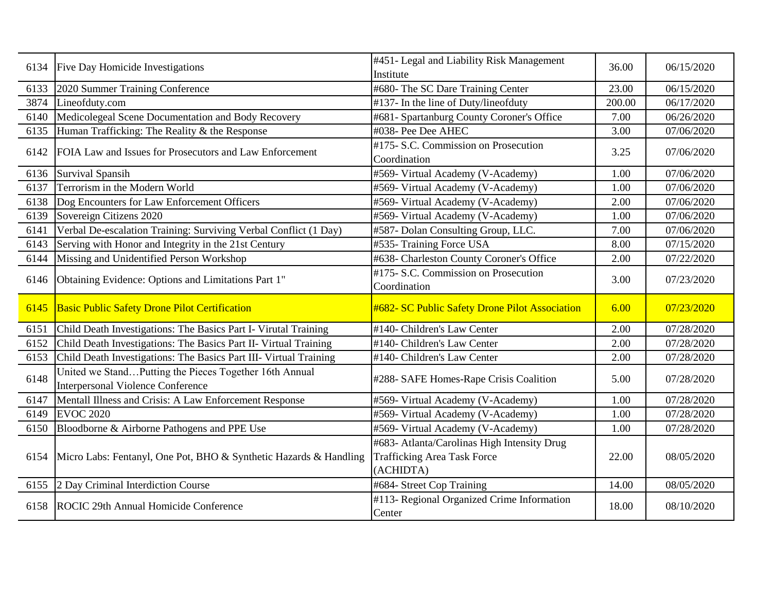| 6134 | Five Day Homicide Investigations                                  | #451- Legal and Liability Risk Management      | 36.00  | 06/15/2020 |
|------|-------------------------------------------------------------------|------------------------------------------------|--------|------------|
|      |                                                                   | Institute                                      |        |            |
| 6133 | 2020 Summer Training Conference                                   | #680- The SC Dare Training Center              | 23.00  | 06/15/2020 |
| 3874 | Lineofduty.com                                                    | #137- In the line of Duty/lineofduty           | 200.00 | 06/17/2020 |
| 6140 | Medicolegeal Scene Documentation and Body Recovery                | #681- Spartanburg County Coroner's Office      | 7.00   | 06/26/2020 |
| 6135 | Human Trafficking: The Reality & the Response                     | #038- Pee Dee AHEC                             | 3.00   | 07/06/2020 |
|      |                                                                   | #175- S.C. Commission on Prosecution           |        |            |
| 6142 | FOIA Law and Issues for Prosecutors and Law Enforcement           | Coordination                                   | 3.25   | 07/06/2020 |
| 6136 | Survival Spansih                                                  | #569- Virtual Academy (V-Academy)              | 1.00   | 07/06/2020 |
| 6137 | Terrorism in the Modern World                                     | #569- Virtual Academy (V-Academy)              | 1.00   | 07/06/2020 |
| 6138 | Dog Encounters for Law Enforcement Officers                       | #569- Virtual Academy (V-Academy)              | 2.00   | 07/06/2020 |
| 6139 | Sovereign Citizens 2020                                           | #569- Virtual Academy (V-Academy)              | 1.00   | 07/06/2020 |
| 6141 | Verbal De-escalation Training: Surviving Verbal Conflict (1 Day)  | #587- Dolan Consulting Group, LLC.             | 7.00   | 07/06/2020 |
| 6143 | Serving with Honor and Integrity in the 21st Century              | #535- Training Force USA                       | 8.00   | 07/15/2020 |
| 6144 | Missing and Unidentified Person Workshop                          | #638- Charleston County Coroner's Office       | 2.00   | 07/22/2020 |
|      | Obtaining Evidence: Options and Limitations Part 1"               | #175- S.C. Commission on Prosecution           |        |            |
| 6146 |                                                                   | Coordination                                   | 3.00   | 07/23/2020 |
| 6145 | <b>Basic Public Safety Drone Pilot Certification</b>              | #682- SC Public Safety Drone Pilot Association | 6.00   | 07/23/2020 |
|      |                                                                   |                                                |        |            |
| 6151 | Child Death Investigations: The Basics Part I- Virutal Training   | #140- Children's Law Center                    | 2.00   | 07/28/2020 |
| 6152 | Child Death Investigations: The Basics Part II- Virtual Training  | #140- Children's Law Center                    | 2.00   | 07/28/2020 |
| 6153 | Child Death Investigations: The Basics Part III- Virtual Training | #140- Children's Law Center                    | 2.00   | 07/28/2020 |
| 6148 | United we StandPutting the Pieces Together 16th Annual            |                                                | 5.00   | 07/28/2020 |
|      | <b>Interpersonal Violence Conference</b>                          | #288- SAFE Homes-Rape Crisis Coalition         |        |            |
| 6147 | Mentall Illness and Crisis: A Law Enforcement Response            | #569- Virtual Academy (V-Academy)              | 1.00   | 07/28/2020 |
| 6149 | <b>EVOC 2020</b>                                                  | #569- Virtual Academy (V-Academy)              | 1.00   | 07/28/2020 |
| 6150 | Bloodborne & Airborne Pathogens and PPE Use                       | #569- Virtual Academy (V-Academy)              | 1.00   | 07/28/2020 |
|      |                                                                   | #683- Atlanta/Carolinas High Intensity Drug    |        |            |
| 6154 | Micro Labs: Fentanyl, One Pot, BHO & Synthetic Hazards & Handling | <b>Trafficking Area Task Force</b>             | 22.00  | 08/05/2020 |
|      |                                                                   | (ACHIDTA)                                      |        |            |
| 6155 | 2 Day Criminal Interdiction Course                                | #684- Street Cop Training                      | 14.00  | 08/05/2020 |
|      |                                                                   | #113- Regional Organized Crime Information     |        |            |
| 6158 | ROCIC 29th Annual Homicide Conference                             | Center                                         | 18.00  | 08/10/2020 |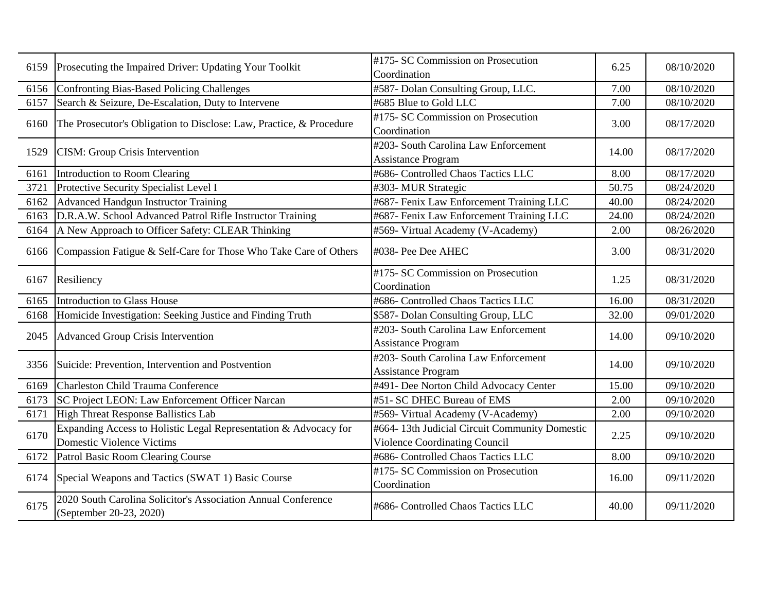| 6159 | Prosecuting the Impaired Driver: Updating Your Toolkit                                        | #175- SC Commission on Prosecution<br>Coordination                                    | 6.25  | 08/10/2020 |
|------|-----------------------------------------------------------------------------------------------|---------------------------------------------------------------------------------------|-------|------------|
| 6156 | Confronting Bias-Based Policing Challenges                                                    | #587- Dolan Consulting Group, LLC.                                                    | 7.00  | 08/10/2020 |
| 6157 | Search & Seizure, De-Escalation, Duty to Intervene                                            | #685 Blue to Gold LLC                                                                 | 7.00  | 08/10/2020 |
| 6160 | The Prosecutor's Obligation to Disclose: Law, Practice, & Procedure                           | #175- SC Commission on Prosecution<br>Coordination                                    | 3.00  | 08/17/2020 |
| 1529 | <b>CISM: Group Crisis Intervention</b>                                                        | #203- South Carolina Law Enforcement<br><b>Assistance Program</b>                     | 14.00 | 08/17/2020 |
| 6161 | Introduction to Room Clearing                                                                 | #686- Controlled Chaos Tactics LLC                                                    | 8.00  | 08/17/2020 |
| 3721 | Protective Security Specialist Level I                                                        | #303- MUR Strategic                                                                   | 50.75 | 08/24/2020 |
| 6162 | <b>Advanced Handgun Instructor Training</b>                                                   | #687- Fenix Law Enforcement Training LLC                                              | 40.00 | 08/24/2020 |
| 6163 | D.R.A.W. School Advanced Patrol Rifle Instructor Training                                     | #687- Fenix Law Enforcement Training LLC                                              | 24.00 | 08/24/2020 |
| 6164 | A New Approach to Officer Safety: CLEAR Thinking                                              | #569- Virtual Academy (V-Academy)                                                     | 2.00  | 08/26/2020 |
| 6166 | Compassion Fatigue & Self-Care for Those Who Take Care of Others                              | #038- Pee Dee AHEC                                                                    | 3.00  | 08/31/2020 |
| 6167 | Resiliency                                                                                    | #175- SC Commission on Prosecution<br>Coordination                                    | 1.25  | 08/31/2020 |
| 6165 | Introduction to Glass House                                                                   | #686- Controlled Chaos Tactics LLC                                                    | 16.00 | 08/31/2020 |
| 6168 | Homicide Investigation: Seeking Justice and Finding Truth                                     | \$587- Dolan Consulting Group, LLC                                                    | 32.00 | 09/01/2020 |
| 2045 | <b>Advanced Group Crisis Intervention</b>                                                     | #203- South Carolina Law Enforcement<br><b>Assistance Program</b>                     | 14.00 | 09/10/2020 |
| 3356 | Suicide: Prevention, Intervention and Postvention                                             | #203- South Carolina Law Enforcement<br><b>Assistance Program</b>                     | 14.00 | 09/10/2020 |
| 6169 | <b>Charleston Child Trauma Conference</b>                                                     | #491- Dee Norton Child Advocacy Center                                                | 15.00 | 09/10/2020 |
| 6173 | SC Project LEON: Law Enforcement Officer Narcan                                               | #51- SC DHEC Bureau of EMS                                                            | 2.00  | 09/10/2020 |
| 6171 | High Threat Response Ballistics Lab                                                           | #569- Virtual Academy (V-Academy)                                                     | 2.00  | 09/10/2020 |
| 6170 | Expanding Access to Holistic Legal Representation & Advocacy for<br>Domestic Violence Victims | #664-13th Judicial Circuit Community Domestic<br><b>Violence Coordinating Council</b> | 2.25  | 09/10/2020 |
| 6172 | Patrol Basic Room Clearing Course                                                             | #686- Controlled Chaos Tactics LLC                                                    | 8.00  | 09/10/2020 |
| 6174 | Special Weapons and Tactics (SWAT 1) Basic Course                                             | #175- SC Commission on Prosecution<br>Coordination                                    | 16.00 | 09/11/2020 |
| 6175 | 2020 South Carolina Solicitor's Association Annual Conference<br>(September 20-23, 2020)      | #686- Controlled Chaos Tactics LLC                                                    | 40.00 | 09/11/2020 |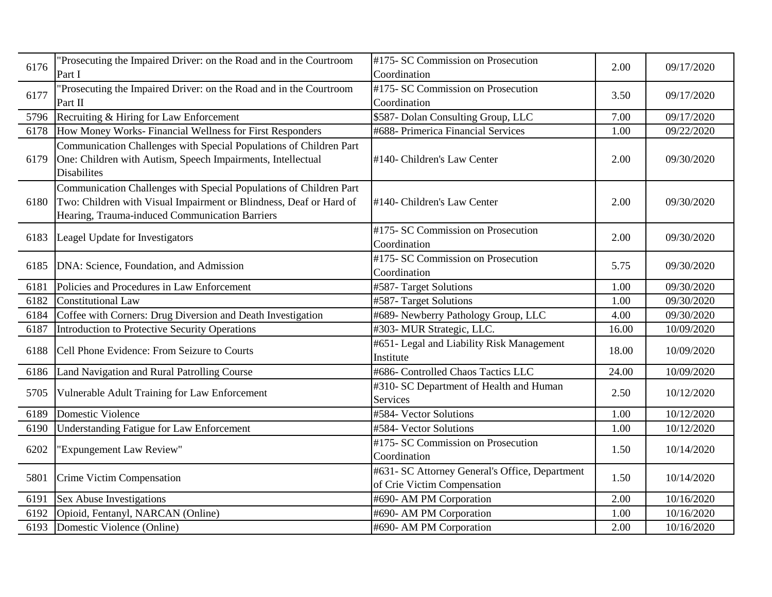| 6176 | "Prosecuting the Impaired Driver: on the Road and in the Courtroom<br>Part I                                                                                                               | #175- SC Commission on Prosecution<br>Coordination                            | 2.00  | 09/17/2020 |
|------|--------------------------------------------------------------------------------------------------------------------------------------------------------------------------------------------|-------------------------------------------------------------------------------|-------|------------|
| 6177 | "Prosecuting the Impaired Driver: on the Road and in the Courtroom<br>Part II                                                                                                              | #175- SC Commission on Prosecution<br>Coordination                            | 3.50  | 09/17/2020 |
| 5796 | Recruiting & Hiring for Law Enforcement                                                                                                                                                    | \$587- Dolan Consulting Group, LLC                                            | 7.00  | 09/17/2020 |
| 6178 | How Money Works-Financial Wellness for First Responders                                                                                                                                    | #688- Primerica Financial Services                                            | 1.00  | 09/22/2020 |
| 6179 | Communication Challenges with Special Populations of Children Part<br>One: Children with Autism, Speech Impairments, Intellectual<br><b>Disabilites</b>                                    | #140- Children's Law Center                                                   | 2.00  | 09/30/2020 |
| 6180 | Communication Challenges with Special Populations of Children Part<br>Two: Children with Visual Impairment or Blindness, Deaf or Hard of<br>Hearing, Trauma-induced Communication Barriers | #140- Children's Law Center                                                   | 2.00  | 09/30/2020 |
| 6183 | Leagel Update for Investigators                                                                                                                                                            | #175- SC Commission on Prosecution<br>Coordination                            | 2.00  | 09/30/2020 |
| 6185 | DNA: Science, Foundation, and Admission                                                                                                                                                    | #175- SC Commission on Prosecution<br>Coordination                            | 5.75  | 09/30/2020 |
| 6181 | Policies and Procedures in Law Enforcement                                                                                                                                                 | #587- Target Solutions                                                        | 1.00  | 09/30/2020 |
| 6182 | Constitutional Law                                                                                                                                                                         | #587- Target Solutions                                                        | 1.00  | 09/30/2020 |
| 6184 | Coffee with Corners: Drug Diversion and Death Investigation                                                                                                                                | #689- Newberry Pathology Group, LLC                                           | 4.00  | 09/30/2020 |
| 6187 | Introduction to Protective Security Operations                                                                                                                                             | #303- MUR Strategic, LLC.                                                     | 16.00 | 10/09/2020 |
| 6188 | Cell Phone Evidence: From Seizure to Courts                                                                                                                                                | #651- Legal and Liability Risk Management<br>Institute                        | 18.00 | 10/09/2020 |
| 6186 | Land Navigation and Rural Patrolling Course                                                                                                                                                | #686- Controlled Chaos Tactics LLC                                            | 24.00 | 10/09/2020 |
| 5705 | Vulnerable Adult Training for Law Enforcement                                                                                                                                              | #310- SC Department of Health and Human<br><b>Services</b>                    | 2.50  | 10/12/2020 |
| 6189 | Domestic Violence                                                                                                                                                                          | #584- Vector Solutions                                                        | 1.00  | 10/12/2020 |
| 6190 | Understanding Fatigue for Law Enforcement                                                                                                                                                  | #584- Vector Solutions                                                        | 1.00  | 10/12/2020 |
| 6202 | "Expungement Law Review"                                                                                                                                                                   | #175- SC Commission on Prosecution<br>Coordination                            | 1.50  | 10/14/2020 |
| 5801 | Crime Victim Compensation                                                                                                                                                                  | #631- SC Attorney General's Office, Department<br>of Crie Victim Compensation | 1.50  | 10/14/2020 |
| 6191 | Sex Abuse Investigations                                                                                                                                                                   | #690- AM PM Corporation                                                       | 2.00  | 10/16/2020 |
| 6192 | Opioid, Fentanyl, NARCAN (Online)                                                                                                                                                          | #690- AM PM Corporation                                                       | 1.00  | 10/16/2020 |
| 6193 | Domestic Violence (Online)                                                                                                                                                                 | #690- AM PM Corporation                                                       | 2.00  | 10/16/2020 |
|      |                                                                                                                                                                                            |                                                                               |       |            |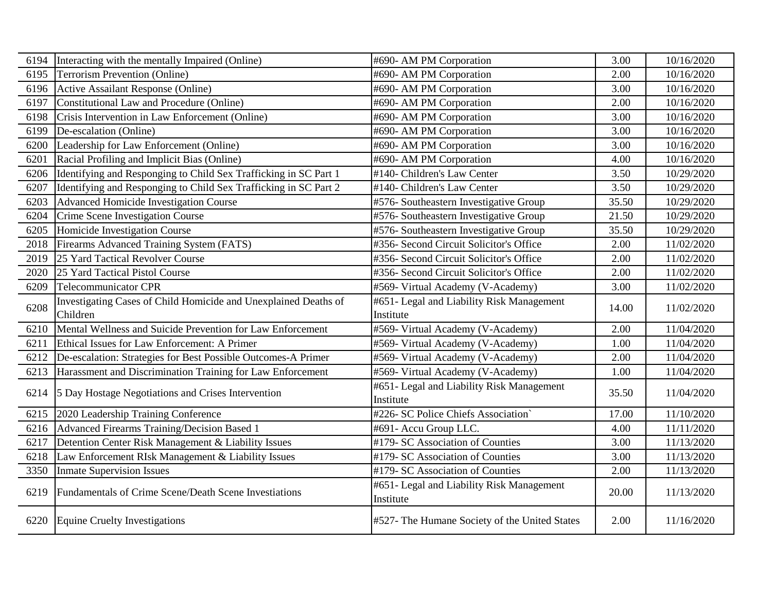| 6194 | Interacting with the mentally Impaired (Online)                  | #690- AM PM Corporation                                | 3.00  | 10/16/2020 |
|------|------------------------------------------------------------------|--------------------------------------------------------|-------|------------|
| 6195 | <b>Terrorism Prevention (Online)</b>                             | #690- AM PM Corporation                                | 2.00  | 10/16/2020 |
| 6196 | Active Assailant Response (Online)                               | #690- AM PM Corporation                                | 3.00  | 10/16/2020 |
| 6197 | Constitutional Law and Procedure (Online)                        | #690- AM PM Corporation                                | 2.00  | 10/16/2020 |
| 6198 | Crisis Intervention in Law Enforcement (Online)                  | #690- AM PM Corporation                                | 3.00  | 10/16/2020 |
| 6199 | De-escalation (Online)                                           | #690- AM PM Corporation                                | 3.00  | 10/16/2020 |
| 6200 | Leadership for Law Enforcement (Online)                          | #690- AM PM Corporation                                | 3.00  | 10/16/2020 |
| 6201 | Racial Profiling and Implicit Bias (Online)                      | #690- AM PM Corporation                                | 4.00  | 10/16/2020 |
| 6206 | Identifying and Responging to Child Sex Trafficking in SC Part 1 | #140- Children's Law Center                            | 3.50  | 10/29/2020 |
| 6207 | Identifying and Responging to Child Sex Trafficking in SC Part 2 | #140- Children's Law Center                            | 3.50  | 10/29/2020 |
| 6203 | <b>Advanced Homicide Investigation Course</b>                    | #576- Southeastern Investigative Group                 | 35.50 | 10/29/2020 |
| 6204 | Crime Scene Investigation Course                                 | #576- Southeastern Investigative Group                 | 21.50 | 10/29/2020 |
| 6205 | Homicide Investigation Course                                    | #576- Southeastern Investigative Group                 | 35.50 | 10/29/2020 |
| 2018 | Firearms Advanced Training System (FATS)                         | #356- Second Circuit Solicitor's Office                | 2.00  | 11/02/2020 |
| 2019 | 25 Yard Tactical Revolver Course                                 | #356- Second Circuit Solicitor's Office                | 2.00  | 11/02/2020 |
| 2020 | 25 Yard Tactical Pistol Course                                   | #356- Second Circuit Solicitor's Office                | 2.00  | 11/02/2020 |
| 6209 | <b>Telecommunicator CPR</b>                                      | #569- Virtual Academy (V-Academy)                      | 3.00  | 11/02/2020 |
| 6208 | Investigating Cases of Child Homicide and Unexplained Deaths of  | #651- Legal and Liability Risk Management              | 14.00 | 11/02/2020 |
|      | Children                                                         | Institute                                              |       |            |
| 6210 | Mental Wellness and Suicide Prevention for Law Enforcement       | #569- Virtual Academy (V-Academy)                      | 2.00  | 11/04/2020 |
| 6211 | Ethical Issues for Law Enforcement: A Primer                     | #569- Virtual Academy (V-Academy)                      | 1.00  | 11/04/2020 |
| 6212 | De-escalation: Strategies for Best Possible Outcomes-A Primer    | #569- Virtual Academy (V-Academy)                      | 2.00  | 11/04/2020 |
| 6213 | Harassment and Discrimination Training for Law Enforcement       | #569- Virtual Academy (V-Academy)                      | 1.00  | 11/04/2020 |
| 6214 | 5 Day Hostage Negotiations and Crises Intervention               | #651- Legal and Liability Risk Management              | 35.50 | 11/04/2020 |
|      |                                                                  | Institute                                              |       |            |
| 6215 | 2020 Leadership Training Conference                              | #226- SC Police Chiefs Association                     | 17.00 | 11/10/2020 |
| 6216 | Advanced Firearms Training/Decision Based 1                      | #691- Accu Group LLC.                                  | 4.00  | 11/11/2020 |
| 6217 | Detention Center Risk Management & Liability Issues              | #179- SC Association of Counties                       | 3.00  | 11/13/2020 |
| 6218 | Law Enforcement RIsk Management & Liability Issues               | #179- SC Association of Counties                       | 3.00  | 11/13/2020 |
| 3350 | <b>Inmate Supervision Issues</b>                                 | #179- SC Association of Counties                       | 2.00  | 11/13/2020 |
| 6219 | <b>Fundamentals of Crime Scene/Death Scene Investiations</b>     | #651- Legal and Liability Risk Management<br>Institute | 20.00 | 11/13/2020 |
| 6220 | Equine Cruelty Investigations                                    | #527- The Humane Society of the United States          | 2.00  | 11/16/2020 |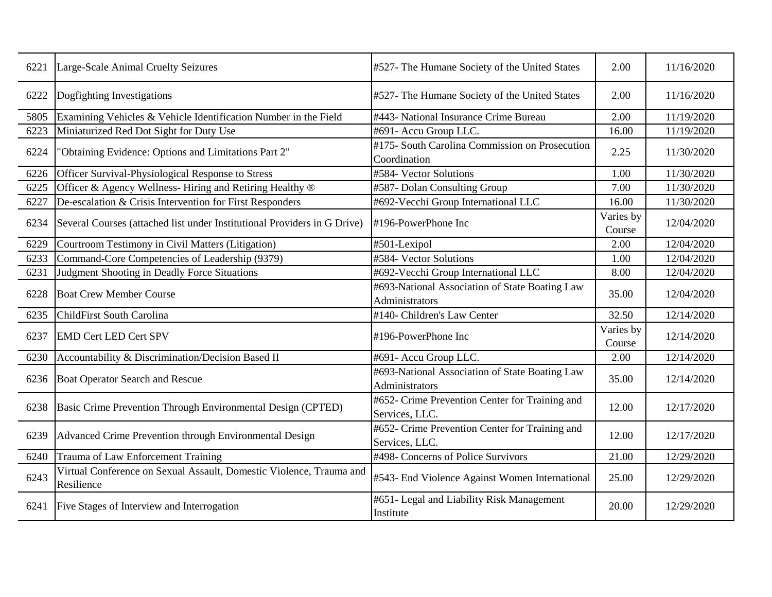| 6221 | Large-Scale Animal Cruelty Seizures                                               | #527- The Humane Society of the United States                    | 2.00                | 11/16/2020 |
|------|-----------------------------------------------------------------------------------|------------------------------------------------------------------|---------------------|------------|
| 6222 | Dogfighting Investigations                                                        | #527- The Humane Society of the United States                    | 2.00                | 11/16/2020 |
| 5805 | Examining Vehicles & Vehicle Identification Number in the Field                   | #443- National Insurance Crime Bureau                            | 2.00                | 11/19/2020 |
| 6223 | Miniaturized Red Dot Sight for Duty Use                                           | #691- Accu Group LLC.                                            | 16.00               | 11/19/2020 |
| 6224 | 'Obtaining Evidence: Options and Limitations Part 2"                              | #175- South Carolina Commission on Prosecution<br>Coordination   | 2.25                | 11/30/2020 |
| 6226 | Officer Survival-Physiological Response to Stress                                 | #584- Vector Solutions                                           | 1.00                | 11/30/2020 |
| 6225 | Officer & Agency Wellness-Hiring and Retiring Healthy ®                           | #587- Dolan Consulting Group                                     | 7.00                | 11/30/2020 |
| 6227 | De-escalation & Crisis Intervention for First Responders                          | #692-Vecchi Group International LLC                              | 16.00               | 11/30/2020 |
| 6234 | Several Courses (attached list under Institutional Providers in G Drive)          | $\sharp$ 196-PowerPhone Inc                                      | Varies by<br>Course | 12/04/2020 |
| 6229 | Courtroom Testimony in Civil Matters (Litigation)                                 | #501-Lexipol                                                     | 2.00                | 12/04/2020 |
| 6233 | Command-Core Competencies of Leadership (9379)                                    | #584- Vector Solutions                                           | 1.00                | 12/04/2020 |
| 6231 | Judgment Shooting in Deadly Force Situations                                      | #692-Vecchi Group International LLC                              | 8.00                | 12/04/2020 |
| 6228 | <b>Boat Crew Member Course</b>                                                    | #693-National Association of State Boating Law<br>Administrators | 35.00               | 12/04/2020 |
| 6235 | <b>ChildFirst South Carolina</b>                                                  | #140- Children's Law Center                                      | 32.50               | 12/14/2020 |
| 6237 | <b>EMD Cert LED Cert SPV</b>                                                      | #196-PowerPhone Inc                                              | Varies by<br>Course | 12/14/2020 |
| 6230 | Accountability & Discrimination/Decision Based II                                 | #691- Accu Group LLC.                                            | 2.00                | 12/14/2020 |
| 6236 | <b>Boat Operator Search and Rescue</b>                                            | #693-National Association of State Boating Law<br>Administrators | 35.00               | 12/14/2020 |
| 6238 | Basic Crime Prevention Through Environmental Design (CPTED)                       | #652- Crime Prevention Center for Training and<br>Services, LLC. | 12.00               | 12/17/2020 |
| 6239 | Advanced Crime Prevention through Environmental Design                            | #652- Crime Prevention Center for Training and<br>Services, LLC. | 12.00               | 12/17/2020 |
| 6240 | Trauma of Law Enforcement Training                                                | #498- Concerns of Police Survivors                               | 21.00               | 12/29/2020 |
| 6243 | Virtual Conference on Sexual Assault, Domestic Violence, Trauma and<br>Resilience | #543- End Violence Against Women International                   | 25.00               | 12/29/2020 |
| 6241 | Five Stages of Interview and Interrogation                                        | #651- Legal and Liability Risk Management<br>Institute           | 20.00               | 12/29/2020 |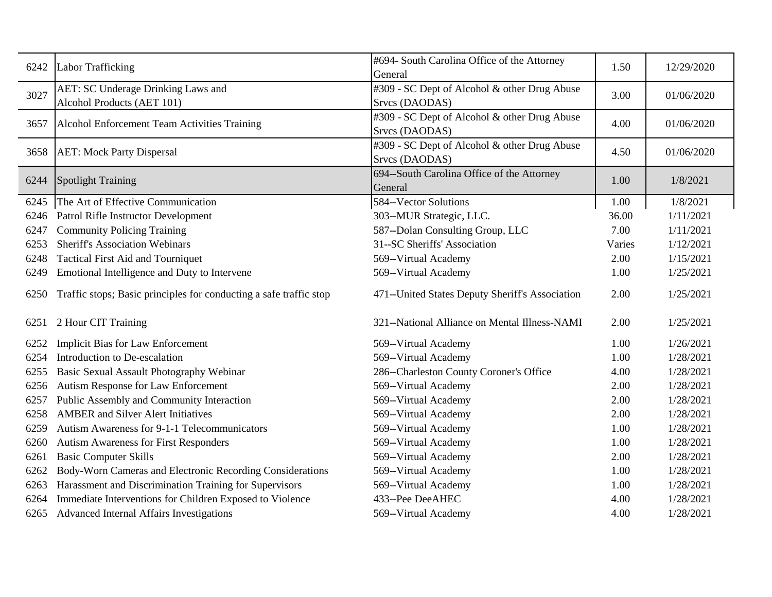| 6242 | Labor Trafficking                                                  | #694- South Carolina Office of the Attorney<br>General         | 1.50   | 12/29/2020 |
|------|--------------------------------------------------------------------|----------------------------------------------------------------|--------|------------|
| 3027 | AET: SC Underage Drinking Laws and<br>Alcohol Products (AET 101)   | #309 - SC Dept of Alcohol & other Drug Abuse<br>Srvcs (DAODAS) | 3.00   | 01/06/2020 |
| 3657 | Alcohol Enforcement Team Activities Training                       | #309 - SC Dept of Alcohol & other Drug Abuse<br>Srvcs (DAODAS) | 4.00   | 01/06/2020 |
| 3658 | <b>AET: Mock Party Dispersal</b>                                   | #309 - SC Dept of Alcohol & other Drug Abuse<br>Srvcs (DAODAS) | 4.50   | 01/06/2020 |
| 6244 | <b>Spotlight Training</b>                                          | 694--South Carolina Office of the Attorney<br>General          | 1.00   | 1/8/2021   |
| 6245 | The Art of Effective Communication                                 | 584--Vector Solutions                                          | 1.00   | 1/8/2021   |
| 6246 | Patrol Rifle Instructor Development                                | 303--MUR Strategic, LLC.                                       | 36.00  | 1/11/2021  |
| 6247 | <b>Community Policing Training</b>                                 | 587--Dolan Consulting Group, LLC                               | 7.00   | 1/11/2021  |
| 6253 | <b>Sheriff's Association Webinars</b>                              | 31--SC Sheriffs' Association                                   | Varies | 1/12/2021  |
| 6248 | <b>Tactical First Aid and Tourniquet</b>                           | 569--Virtual Academy                                           | 2.00   | 1/15/2021  |
| 6249 | Emotional Intelligence and Duty to Intervene                       | 569--Virtual Academy                                           | 1.00   | 1/25/2021  |
| 6250 | Traffic stops; Basic principles for conducting a safe traffic stop | 471--United States Deputy Sheriff's Association                | 2.00   | 1/25/2021  |
| 6251 | 2 Hour CIT Training                                                | 321--National Alliance on Mental Illness-NAMI                  | 2.00   | 1/25/2021  |
| 6252 | <b>Implicit Bias for Law Enforcement</b>                           | 569--Virtual Academy                                           | 1.00   | 1/26/2021  |
| 6254 | Introduction to De-escalation                                      | 569--Virtual Academy                                           | 1.00   | 1/28/2021  |
| 6255 | Basic Sexual Assault Photography Webinar                           | 286--Charleston County Coroner's Office                        | 4.00   | 1/28/2021  |
| 6256 | Autism Response for Law Enforcement                                | 569--Virtual Academy                                           | 2.00   | 1/28/2021  |
| 6257 | Public Assembly and Community Interaction                          | 569--Virtual Academy                                           | 2.00   | 1/28/2021  |
| 6258 | <b>AMBER</b> and Silver Alert Initiatives                          | 569--Virtual Academy                                           | 2.00   | 1/28/2021  |
| 6259 | Autism Awareness for 9-1-1 Telecommunicators                       | 569--Virtual Academy                                           | 1.00   | 1/28/2021  |
| 6260 | <b>Autism Awareness for First Responders</b>                       | 569--Virtual Academy                                           | 1.00   | 1/28/2021  |
| 6261 | <b>Basic Computer Skills</b>                                       | 569--Virtual Academy                                           | 2.00   | 1/28/2021  |
| 6262 | Body-Worn Cameras and Electronic Recording Considerations          | 569--Virtual Academy                                           | 1.00   | 1/28/2021  |
| 6263 | Harassment and Discrimination Training for Supervisors             | 569--Virtual Academy                                           | 1.00   | 1/28/2021  |
| 6264 | Immediate Interventions for Children Exposed to Violence           | 433--Pee DeeAHEC                                               | 4.00   | 1/28/2021  |
|      | 6265 Advanced Internal Affairs Investigations                      | 569--Virtual Academy                                           | 4.00   | 1/28/2021  |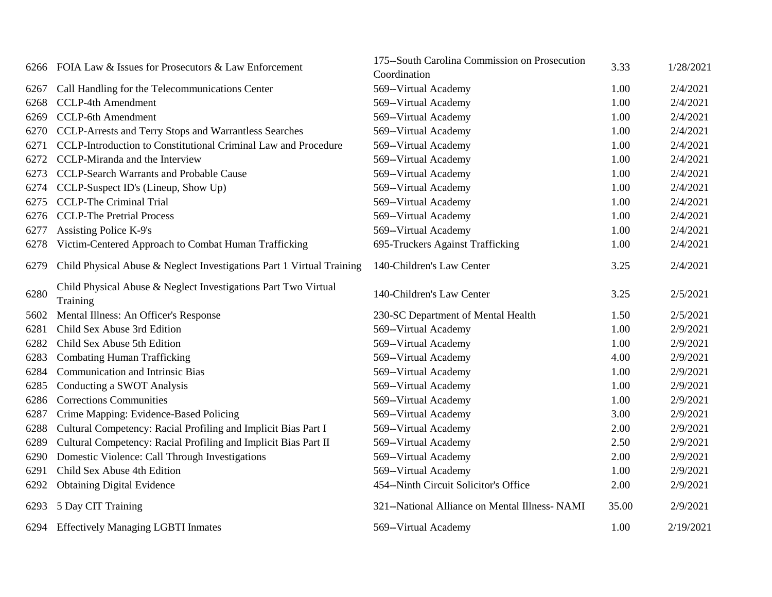|      | 6266 FOIA Law & Issues for Prosecutors & Law Enforcement                   | 175-South Carolina Commission on Prosecution  | 3.33  | 1/28/2021 |
|------|----------------------------------------------------------------------------|-----------------------------------------------|-------|-----------|
|      |                                                                            | Coordination                                  |       |           |
| 6267 | Call Handling for the Telecommunications Center                            | 569--Virtual Academy                          | 1.00  | 2/4/2021  |
| 6268 | <b>CCLP-4th Amendment</b>                                                  | 569--Virtual Academy                          | 1.00  | 2/4/2021  |
| 6269 | <b>CCLP-6th Amendment</b>                                                  | 569--Virtual Academy                          | 1.00  | 2/4/2021  |
| 6270 | CCLP-Arrests and Terry Stops and Warrantless Searches                      | 569--Virtual Academy                          | 1.00  | 2/4/2021  |
| 6271 | CCLP-Introduction to Constitutional Criminal Law and Procedure             | 569--Virtual Academy                          | 1.00  | 2/4/2021  |
| 6272 | CCLP-Miranda and the Interview                                             | 569--Virtual Academy                          | 1.00  | 2/4/2021  |
| 6273 | <b>CCLP-Search Warrants and Probable Cause</b>                             | 569--Virtual Academy                          | 1.00  | 2/4/2021  |
| 6274 | CCLP-Suspect ID's (Lineup, Show Up)                                        | 569--Virtual Academy                          | 1.00  | 2/4/2021  |
| 6275 | <b>CCLP-The Criminal Trial</b>                                             | 569--Virtual Academy                          | 1.00  | 2/4/2021  |
| 6276 | <b>CCLP-The Pretrial Process</b>                                           | 569--Virtual Academy                          | 1.00  | 2/4/2021  |
| 6277 | <b>Assisting Police K-9's</b>                                              | 569--Virtual Academy                          | 1.00  | 2/4/2021  |
| 6278 | Victim-Centered Approach to Combat Human Trafficking                       | 695-Truckers Against Trafficking              | 1.00  | 2/4/2021  |
| 6279 | Child Physical Abuse & Neglect Investigations Part 1 Virtual Training      | 140-Children's Law Center                     | 3.25  | 2/4/2021  |
| 6280 | Child Physical Abuse & Neglect Investigations Part Two Virtual<br>Training | 140-Children's Law Center                     | 3.25  | 2/5/2021  |
| 5602 | Mental Illness: An Officer's Response                                      | 230-SC Department of Mental Health            | 1.50  | 2/5/2021  |
| 6281 | Child Sex Abuse 3rd Edition                                                | 569--Virtual Academy                          | 1.00  | 2/9/2021  |
| 6282 | Child Sex Abuse 5th Edition                                                | 569--Virtual Academy                          | 1.00  | 2/9/2021  |
| 6283 | <b>Combating Human Trafficking</b>                                         | 569--Virtual Academy                          | 4.00  | 2/9/2021  |
| 6284 | <b>Communication and Intrinsic Bias</b>                                    | 569--Virtual Academy                          | 1.00  | 2/9/2021  |
| 6285 | Conducting a SWOT Analysis                                                 | 569--Virtual Academy                          | 1.00  | 2/9/2021  |
| 6286 | <b>Corrections Communities</b>                                             | 569--Virtual Academy                          | 1.00  | 2/9/2021  |
| 6287 | Crime Mapping: Evidence-Based Policing                                     | 569--Virtual Academy                          | 3.00  | 2/9/2021  |
| 6288 | Cultural Competency: Racial Profiling and Implicit Bias Part I             | 569--Virtual Academy                          | 2.00  | 2/9/2021  |
| 6289 | Cultural Competency: Racial Profiling and Implicit Bias Part II            | 569--Virtual Academy                          | 2.50  | 2/9/2021  |
| 6290 | Domestic Violence: Call Through Investigations                             | 569--Virtual Academy                          | 2.00  | 2/9/2021  |
| 6291 | Child Sex Abuse 4th Edition                                                | 569--Virtual Academy                          | 1.00  | 2/9/2021  |
| 6292 | <b>Obtaining Digital Evidence</b>                                          | 454--Ninth Circuit Solicitor's Office         | 2.00  | 2/9/2021  |
| 6293 | 5 Day CIT Training                                                         | 321--National Alliance on Mental Illness-NAMI | 35.00 | 2/9/2021  |
| 6294 | <b>Effectively Managing LGBTI Inmates</b>                                  | 569--Virtual Academy                          | 1.00  | 2/19/2021 |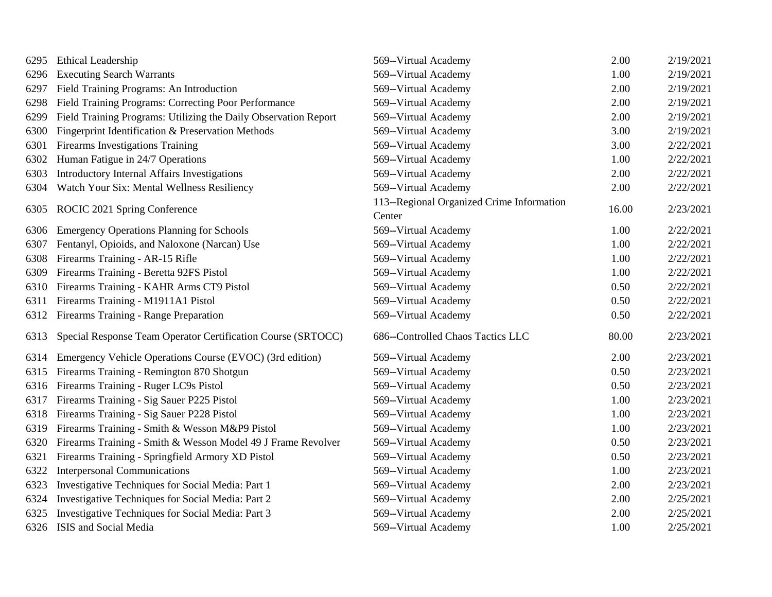| 6295 | Ethical Leadership                                              | 569--Virtual Academy                                | 2.00  | 2/19/2021 |
|------|-----------------------------------------------------------------|-----------------------------------------------------|-------|-----------|
| 6296 | <b>Executing Search Warrants</b>                                | 569--Virtual Academy                                | 1.00  | 2/19/2021 |
| 6297 | Field Training Programs: An Introduction                        | 569--Virtual Academy                                | 2.00  | 2/19/2021 |
| 6298 | Field Training Programs: Correcting Poor Performance            | 569--Virtual Academy                                | 2.00  | 2/19/2021 |
| 6299 | Field Training Programs: Utilizing the Daily Observation Report | 569--Virtual Academy                                | 2.00  | 2/19/2021 |
| 6300 | Fingerprint Identification & Preservation Methods               | 569--Virtual Academy                                | 3.00  | 2/19/2021 |
| 6301 | Firearms Investigations Training                                | 569--Virtual Academy                                | 3.00  | 2/22/2021 |
| 6302 | Human Fatigue in 24/7 Operations                                | 569--Virtual Academy                                | 1.00  | 2/22/2021 |
| 6303 | Introductory Internal Affairs Investigations                    | 569--Virtual Academy                                | 2.00  | 2/22/2021 |
| 6304 | Watch Your Six: Mental Wellness Resiliency                      | 569--Virtual Academy                                | 2.00  | 2/22/2021 |
| 6305 | ROCIC 2021 Spring Conference                                    | 113--Regional Organized Crime Information<br>Center | 16.00 | 2/23/2021 |
| 6306 | <b>Emergency Operations Planning for Schools</b>                | 569--Virtual Academy                                | 1.00  | 2/22/2021 |
| 6307 | Fentanyl, Opioids, and Naloxone (Narcan) Use                    | 569--Virtual Academy                                | 1.00  | 2/22/2021 |
| 6308 | Firearms Training - AR-15 Rifle                                 | 569--Virtual Academy                                | 1.00  | 2/22/2021 |
| 6309 | Firearms Training - Beretta 92FS Pistol                         | 569--Virtual Academy                                | 1.00  | 2/22/2021 |
| 6310 | Firearms Training - KAHR Arms CT9 Pistol                        | 569--Virtual Academy                                | 0.50  | 2/22/2021 |
| 6311 | Firearms Training - M1911A1 Pistol                              | 569--Virtual Academy                                | 0.50  | 2/22/2021 |
| 6312 | Firearms Training - Range Preparation                           | 569--Virtual Academy                                | 0.50  | 2/22/2021 |
| 6313 | Special Response Team Operator Certification Course (SRTOCC)    | 686--Controlled Chaos Tactics LLC                   | 80.00 | 2/23/2021 |
| 6314 | Emergency Vehicle Operations Course (EVOC) (3rd edition)        | 569--Virtual Academy                                | 2.00  | 2/23/2021 |
| 6315 | Firearms Training - Remington 870 Shotgun                       | 569--Virtual Academy                                | 0.50  | 2/23/2021 |
| 6316 | Firearms Training - Ruger LC9s Pistol                           | 569--Virtual Academy                                | 0.50  | 2/23/2021 |
| 6317 | Firearms Training - Sig Sauer P225 Pistol                       | 569--Virtual Academy                                | 1.00  | 2/23/2021 |
| 6318 | Firearms Training - Sig Sauer P228 Pistol                       | 569--Virtual Academy                                | 1.00  | 2/23/2021 |
| 6319 | Firearms Training - Smith & Wesson M&P9 Pistol                  | 569--Virtual Academy                                | 1.00  | 2/23/2021 |
| 6320 | Firearms Training - Smith & Wesson Model 49 J Frame Revolver    | 569--Virtual Academy                                | 0.50  | 2/23/2021 |
| 6321 | Firearms Training - Springfield Armory XD Pistol                | 569--Virtual Academy                                | 0.50  | 2/23/2021 |
| 6322 | <b>Interpersonal Communications</b>                             | 569--Virtual Academy                                | 1.00  | 2/23/2021 |
| 6323 | Investigative Techniques for Social Media: Part 1               | 569--Virtual Academy                                | 2.00  | 2/23/2021 |
| 6324 | Investigative Techniques for Social Media: Part 2               | 569--Virtual Academy                                | 2.00  | 2/25/2021 |
| 6325 | Investigative Techniques for Social Media: Part 3               | 569--Virtual Academy                                | 2.00  | 2/25/2021 |
| 6326 | ISIS and Social Media                                           | 569--Virtual Academy                                | 1.00  | 2/25/2021 |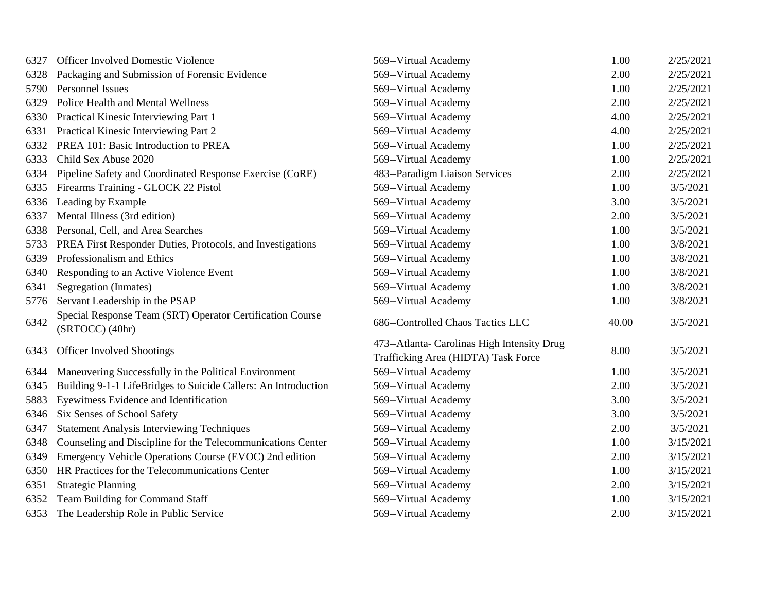| 6327 | <b>Officer Involved Domestic Violence</b>                                    | 569--Virtual Academy                                                               | 1.00  | 2/25/2021 |
|------|------------------------------------------------------------------------------|------------------------------------------------------------------------------------|-------|-----------|
| 6328 | Packaging and Submission of Forensic Evidence                                | 569--Virtual Academy                                                               | 2.00  | 2/25/2021 |
| 5790 | <b>Personnel Issues</b>                                                      | 569--Virtual Academy                                                               | 1.00  | 2/25/2021 |
| 6329 | Police Health and Mental Wellness                                            | 569--Virtual Academy                                                               | 2.00  | 2/25/2021 |
| 6330 | Practical Kinesic Interviewing Part 1                                        | 569--Virtual Academy                                                               | 4.00  | 2/25/2021 |
| 6331 | Practical Kinesic Interviewing Part 2                                        | 569--Virtual Academy                                                               | 4.00  | 2/25/2021 |
| 6332 | PREA 101: Basic Introduction to PREA                                         | 569--Virtual Academy                                                               | 1.00  | 2/25/2021 |
| 6333 | Child Sex Abuse 2020                                                         | 569--Virtual Academy                                                               | 1.00  | 2/25/2021 |
| 6334 | Pipeline Safety and Coordinated Response Exercise (CoRE)                     | 483--Paradigm Liaison Services                                                     | 2.00  | 2/25/2021 |
| 6335 | Firearms Training - GLOCK 22 Pistol                                          | 569--Virtual Academy                                                               | 1.00  | 3/5/2021  |
| 6336 | Leading by Example                                                           | 569--Virtual Academy                                                               | 3.00  | 3/5/2021  |
| 6337 | Mental Illness (3rd edition)                                                 | 569--Virtual Academy                                                               | 2.00  | 3/5/2021  |
| 6338 | Personal, Cell, and Area Searches                                            | 569--Virtual Academy                                                               | 1.00  | 3/5/2021  |
| 5733 | PREA First Responder Duties, Protocols, and Investigations                   | 569--Virtual Academy                                                               | 1.00  | 3/8/2021  |
| 6339 | Professionalism and Ethics                                                   | 569--Virtual Academy                                                               | 1.00  | 3/8/2021  |
| 6340 | Responding to an Active Violence Event                                       | 569--Virtual Academy                                                               | 1.00  | 3/8/2021  |
| 6341 | Segregation (Inmates)                                                        | 569--Virtual Academy                                                               | 1.00  | 3/8/2021  |
| 5776 | Servant Leadership in the PSAP                                               | 569--Virtual Academy                                                               | 1.00  | 3/8/2021  |
| 6342 | Special Response Team (SRT) Operator Certification Course<br>(SRTOCC) (40hr) | 686--Controlled Chaos Tactics LLC                                                  | 40.00 | 3/5/2021  |
| 6343 | <b>Officer Involved Shootings</b>                                            | 473--Atlanta- Carolinas High Intensity Drug<br>Trafficking Area (HIDTA) Task Force | 8.00  | 3/5/2021  |
| 6344 | Maneuvering Successfully in the Political Environment                        | 569--Virtual Academy                                                               | 1.00  | 3/5/2021  |
| 6345 | Building 9-1-1 LifeBridges to Suicide Callers: An Introduction               | 569--Virtual Academy                                                               | 2.00  | 3/5/2021  |
| 5883 | Eyewitness Evidence and Identification                                       | 569--Virtual Academy                                                               | 3.00  | 3/5/2021  |
| 6346 | Six Senses of School Safety                                                  | 569--Virtual Academy                                                               | 3.00  | 3/5/2021  |
| 6347 | <b>Statement Analysis Interviewing Techniques</b>                            | 569--Virtual Academy                                                               | 2.00  | 3/5/2021  |
| 6348 | Counseling and Discipline for the Telecommunications Center                  | 569--Virtual Academy                                                               | 1.00  | 3/15/2021 |
| 6349 | Emergency Vehicle Operations Course (EVOC) 2nd edition                       | 569--Virtual Academy                                                               | 2.00  | 3/15/2021 |
| 6350 | HR Practices for the Telecommunications Center                               | 569--Virtual Academy                                                               | 1.00  | 3/15/2021 |
| 6351 | <b>Strategic Planning</b>                                                    | 569--Virtual Academy                                                               | 2.00  | 3/15/2021 |
| 6352 | Team Building for Command Staff                                              | 569--Virtual Academy                                                               | 1.00  | 3/15/2021 |
| 6353 | The Leadership Role in Public Service                                        | 569--Virtual Academy                                                               | 2.00  | 3/15/2021 |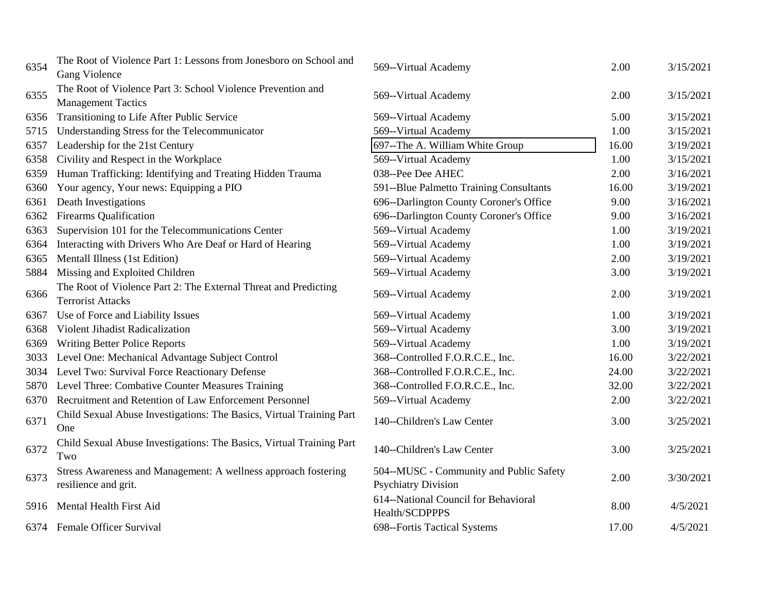| 6354 | The Root of Violence Part 1: Lessons from Jonesboro on School and<br>Gang Violence          | 569--Virtual Academy                                                  | 2.00  | 3/15/2021 |
|------|---------------------------------------------------------------------------------------------|-----------------------------------------------------------------------|-------|-----------|
| 6355 | The Root of Violence Part 3: School Violence Prevention and<br><b>Management Tactics</b>    | 569--Virtual Academy                                                  | 2.00  | 3/15/2021 |
| 6356 | Transitioning to Life After Public Service                                                  | 569--Virtual Academy                                                  | 5.00  | 3/15/2021 |
| 5715 | Understanding Stress for the Telecommunicator                                               | 569--Virtual Academy                                                  | 1.00  | 3/15/2021 |
| 6357 | Leadership for the 21st Century                                                             | 697--The A. William White Group                                       | 16.00 | 3/19/2021 |
| 6358 | Civility and Respect in the Workplace                                                       | 569--Virtual Academy                                                  | 1.00  | 3/15/2021 |
| 6359 | Human Trafficking: Identifying and Treating Hidden Trauma                                   | 038--Pee Dee AHEC                                                     | 2.00  | 3/16/2021 |
| 6360 | Your agency, Your news: Equipping a PIO                                                     | 591--Blue Palmetto Training Consultants                               | 16.00 | 3/19/2021 |
| 6361 | Death Investigations                                                                        | 696--Darlington County Coroner's Office                               | 9.00  | 3/16/2021 |
| 6362 | <b>Firearms Qualification</b>                                                               | 696--Darlington County Coroner's Office                               | 9.00  | 3/16/2021 |
| 6363 | Supervision 101 for the Telecommunications Center                                           | 569--Virtual Academy                                                  | 1.00  | 3/19/2021 |
| 6364 | Interacting with Drivers Who Are Deaf or Hard of Hearing                                    | 569--Virtual Academy                                                  | 1.00  | 3/19/2021 |
| 6365 | Mentall Illness (1st Edition)                                                               | 569--Virtual Academy                                                  | 2.00  | 3/19/2021 |
| 5884 | Missing and Exploited Children                                                              | 569--Virtual Academy                                                  | 3.00  | 3/19/2021 |
| 6366 | The Root of Violence Part 2: The External Threat and Predicting<br><b>Terrorist Attacks</b> | 569--Virtual Academy                                                  | 2.00  | 3/19/2021 |
| 6367 | Use of Force and Liability Issues                                                           | 569--Virtual Academy                                                  | 1.00  | 3/19/2021 |
| 6368 | Violent Jihadist Radicalization                                                             | 569--Virtual Academy                                                  | 3.00  | 3/19/2021 |
| 6369 | <b>Writing Better Police Reports</b>                                                        | 569--Virtual Academy                                                  | 1.00  | 3/19/2021 |
| 3033 | Level One: Mechanical Advantage Subject Control                                             | 368--Controlled F.O.R.C.E., Inc.                                      | 16.00 | 3/22/2021 |
| 3034 | Level Two: Survival Force Reactionary Defense                                               | 368--Controlled F.O.R.C.E., Inc.                                      | 24.00 | 3/22/2021 |
| 5870 | Level Three: Combative Counter Measures Training                                            | 368--Controlled F.O.R.C.E., Inc.                                      | 32.00 | 3/22/2021 |
| 6370 | Recruitment and Retention of Law Enforcement Personnel                                      | 569--Virtual Academy                                                  | 2.00  | 3/22/2021 |
| 6371 | Child Sexual Abuse Investigations: The Basics, Virtual Training Part<br>One                 | 140--Children's Law Center                                            | 3.00  | 3/25/2021 |
| 6372 | Child Sexual Abuse Investigations: The Basics, Virtual Training Part<br>Two                 | 140--Children's Law Center                                            | 3.00  | 3/25/2021 |
| 6373 | Stress Awareness and Management: A wellness approach fostering<br>resilience and grit.      | 504--MUSC - Community and Public Safety<br><b>Psychiatry Division</b> | 2.00  | 3/30/2021 |
| 5916 | Mental Health First Aid                                                                     | 614--National Council for Behavioral<br>Health/SCDPPPS                | 8.00  | 4/5/2021  |
|      | 6374 Female Officer Survival                                                                | 698--Fortis Tactical Systems                                          | 17.00 | 4/5/2021  |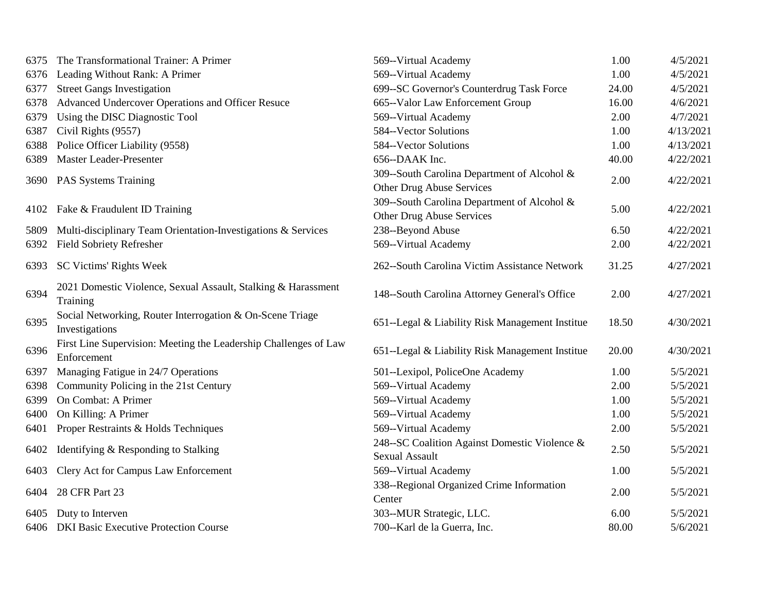| 6375 | The Transformational Trainer: A Primer                                          | 569--Virtual Academy                                                     | 1.00  | 4/5/2021  |
|------|---------------------------------------------------------------------------------|--------------------------------------------------------------------------|-------|-----------|
| 6376 | Leading Without Rank: A Primer                                                  | 569--Virtual Academy                                                     | 1.00  | 4/5/2021  |
| 6377 | <b>Street Gangs Investigation</b>                                               | 699--SC Governor's Counterdrug Task Force                                | 24.00 | 4/5/2021  |
| 6378 | Advanced Undercover Operations and Officer Resuce                               | 665--Valor Law Enforcement Group                                         | 16.00 | 4/6/2021  |
| 6379 | Using the DISC Diagnostic Tool                                                  | 569--Virtual Academy                                                     | 2.00  | 4/7/2021  |
| 6387 | Civil Rights (9557)                                                             | 584--Vector Solutions                                                    | 1.00  | 4/13/2021 |
| 6388 | Police Officer Liability (9558)                                                 | 584--Vector Solutions                                                    | 1.00  | 4/13/2021 |
| 6389 | Master Leader-Presenter                                                         | 656--DAAK Inc.                                                           | 40.00 | 4/22/2021 |
|      | 3690 PAS Systems Training                                                       | 309--South Carolina Department of Alcohol &<br>Other Drug Abuse Services | 2.00  | 4/22/2021 |
| 4102 | Fake & Fraudulent ID Training                                                   | 309-South Carolina Department of Alcohol &<br>Other Drug Abuse Services  | 5.00  | 4/22/2021 |
| 5809 | Multi-disciplinary Team Orientation-Investigations & Services                   | 238--Beyond Abuse                                                        | 6.50  | 4/22/2021 |
| 6392 | <b>Field Sobriety Refresher</b>                                                 | 569--Virtual Academy                                                     | 2.00  | 4/22/2021 |
| 6393 | SC Victims' Rights Week                                                         | 262--South Carolina Victim Assistance Network                            | 31.25 | 4/27/2021 |
| 6394 | 2021 Domestic Violence, Sexual Assault, Stalking & Harassment<br>Training       | 148-South Carolina Attorney General's Office                             | 2.00  | 4/27/2021 |
| 6395 | Social Networking, Router Interrogation & On-Scene Triage<br>Investigations     | 651--Legal & Liability Risk Management Institue                          | 18.50 | 4/30/2021 |
| 6396 | First Line Supervision: Meeting the Leadership Challenges of Law<br>Enforcement | 651--Legal & Liability Risk Management Institue                          | 20.00 | 4/30/2021 |
| 6397 | Managing Fatigue in 24/7 Operations                                             | 501--Lexipol, PoliceOne Academy                                          | 1.00  | 5/5/2021  |
| 6398 | Community Policing in the 21st Century                                          | 569--Virtual Academy                                                     | 2.00  | 5/5/2021  |
| 6399 | On Combat: A Primer                                                             | 569--Virtual Academy                                                     | 1.00  | 5/5/2021  |
| 6400 | On Killing: A Primer                                                            | 569--Virtual Academy                                                     | 1.00  | 5/5/2021  |
| 6401 | Proper Restraints & Holds Techniques                                            | 569--Virtual Academy                                                     | 2.00  | 5/5/2021  |
| 6402 | Identifying & Responding to Stalking                                            | 248--SC Coalition Against Domestic Violence &<br><b>Sexual Assault</b>   | 2.50  | 5/5/2021  |
| 6403 | Clery Act for Campus Law Enforcement                                            | 569--Virtual Academy                                                     | 1.00  | 5/5/2021  |
| 6404 | 28 CFR Part 23                                                                  | 338--Regional Organized Crime Information<br>Center                      | 2.00  | 5/5/2021  |
| 6405 | Duty to Interven                                                                | 303--MUR Strategic, LLC.                                                 | 6.00  | 5/5/2021  |
|      | 6406 DKI Basic Executive Protection Course                                      | 700--Karl de la Guerra, Inc.                                             | 80.00 | 5/6/2021  |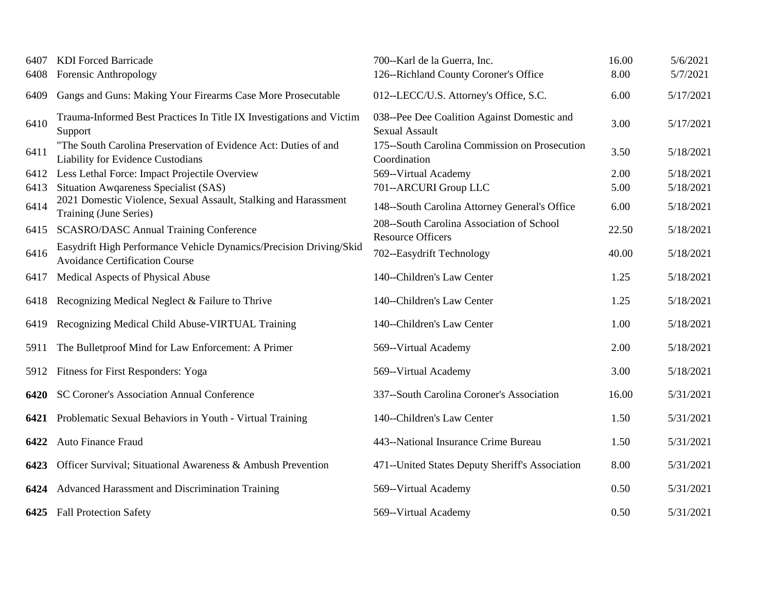| 6407 | <b>KDI</b> Forced Barricade                                                                                 | 700--Karl de la Guerra, Inc.                                         | 16.00 | 5/6/2021  |
|------|-------------------------------------------------------------------------------------------------------------|----------------------------------------------------------------------|-------|-----------|
| 6408 | Forensic Anthropology                                                                                       | 126--Richland County Coroner's Office                                | 8.00  | 5/7/2021  |
| 6409 | Gangs and Guns: Making Your Firearms Case More Prosecutable                                                 | 012--LECC/U.S. Attorney's Office, S.C.                               | 6.00  | 5/17/2021 |
| 6410 | Trauma-Informed Best Practices In Title IX Investigations and Victim<br>Support                             | 038--Pee Dee Coalition Against Domestic and<br><b>Sexual Assault</b> | 3.00  | 5/17/2021 |
| 6411 | "The South Carolina Preservation of Evidence Act: Duties of and<br>Liability for Evidence Custodians        | 175-South Carolina Commission on Prosecution<br>Coordination         | 3.50  | 5/18/2021 |
| 6412 | Less Lethal Force: Impact Projectile Overview                                                               | 569--Virtual Academy                                                 | 2.00  | 5/18/2021 |
| 6413 | Situation Awgareness Specialist (SAS)                                                                       | 701--ARCURI Group LLC                                                | 5.00  | 5/18/2021 |
| 6414 | 2021 Domestic Violence, Sexual Assault, Stalking and Harassment<br>Training (June Series)                   | 148-South Carolina Attorney General's Office                         | 6.00  | 5/18/2021 |
| 6415 | <b>SCASRO/DASC Annual Training Conference</b>                                                               | 208-South Carolina Association of School<br><b>Resource Officers</b> | 22.50 | 5/18/2021 |
| 6416 | Easydrift High Performance Vehicle Dynamics/Precision Driving/Skid<br><b>Avoidance Certification Course</b> | 702--Easydrift Technology                                            | 40.00 | 5/18/2021 |
| 6417 | Medical Aspects of Physical Abuse                                                                           | 140--Children's Law Center                                           | 1.25  | 5/18/2021 |
| 6418 | Recognizing Medical Neglect & Failure to Thrive                                                             | 140--Children's Law Center                                           | 1.25  | 5/18/2021 |
| 6419 | Recognizing Medical Child Abuse-VIRTUAL Training                                                            | 140--Children's Law Center                                           | 1.00  | 5/18/2021 |
| 5911 | The Bulletproof Mind for Law Enforcement: A Primer                                                          | 569--Virtual Academy                                                 | 2.00  | 5/18/2021 |
| 5912 | <b>Fitness for First Responders: Yoga</b>                                                                   | 569--Virtual Academy                                                 | 3.00  | 5/18/2021 |
| 6420 | SC Coroner's Association Annual Conference                                                                  | 337--South Carolina Coroner's Association                            | 16.00 | 5/31/2021 |
| 6421 | Problematic Sexual Behaviors in Youth - Virtual Training                                                    | 140--Children's Law Center                                           | 1.50  | 5/31/2021 |
| 6422 | Auto Finance Fraud                                                                                          | 443--National Insurance Crime Bureau                                 | 1.50  | 5/31/2021 |
| 6423 | Officer Survival; Situational Awareness & Ambush Prevention                                                 | 471--United States Deputy Sheriff's Association                      | 8.00  | 5/31/2021 |
| 6424 | Advanced Harassment and Discrimination Training                                                             | 569--Virtual Academy                                                 | 0.50  | 5/31/2021 |
|      | 6425 Fall Protection Safety                                                                                 | 569--Virtual Academy                                                 | 0.50  | 5/31/2021 |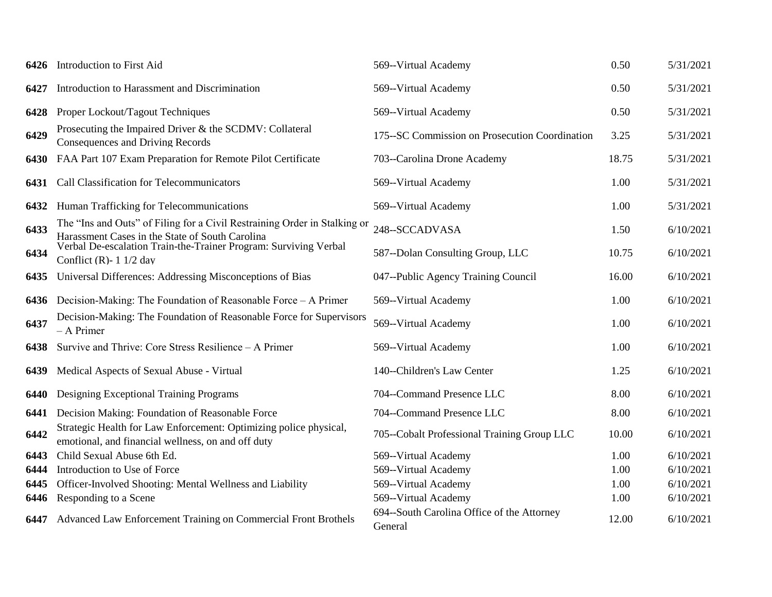| 6426 | Introduction to First Aid                                                                                                    | 569--Virtual Academy                                  | 0.50  | 5/31/2021 |
|------|------------------------------------------------------------------------------------------------------------------------------|-------------------------------------------------------|-------|-----------|
| 6427 | Introduction to Harassment and Discrimination                                                                                | 569--Virtual Academy                                  | 0.50  | 5/31/2021 |
| 6428 | Proper Lockout/Tagout Techniques                                                                                             | 569--Virtual Academy                                  | 0.50  | 5/31/2021 |
| 6429 | Prosecuting the Impaired Driver & the SCDMV: Collateral<br><b>Consequences and Driving Records</b>                           | 175--SC Commission on Prosecution Coordination        | 3.25  | 5/31/2021 |
| 6430 | FAA Part 107 Exam Preparation for Remote Pilot Certificate                                                                   | 703--Carolina Drone Academy                           | 18.75 | 5/31/2021 |
|      | 6431 Call Classification for Telecommunicators                                                                               | 569--Virtual Academy                                  | 1.00  | 5/31/2021 |
| 6432 | Human Trafficking for Telecommunications                                                                                     | 569--Virtual Academy                                  | 1.00  | 5/31/2021 |
| 6433 | The "Ins and Outs" of Filing for a Civil Restraining Order in Stalking or<br>Harassment Cases in the State of South Carolina | 248--SCCADVASA                                        | 1.50  | 6/10/2021 |
| 6434 | Verbal De-escalation Train-the-Trainer Program: Surviving Verbal<br>Conflict (R)- $1 \frac{1}{2}$ day                        | 587--Dolan Consulting Group, LLC                      | 10.75 | 6/10/2021 |
| 6435 | Universal Differences: Addressing Misconceptions of Bias                                                                     | 047--Public Agency Training Council                   | 16.00 | 6/10/2021 |
| 6436 | Decision-Making: The Foundation of Reasonable Force – A Primer                                                               | 569--Virtual Academy                                  | 1.00  | 6/10/2021 |
| 6437 | Decision-Making: The Foundation of Reasonable Force for Supervisors<br>$-$ A Primer                                          | 569--Virtual Academy                                  | 1.00  | 6/10/2021 |
| 6438 | Survive and Thrive: Core Stress Resilience - A Primer                                                                        | 569--Virtual Academy                                  | 1.00  | 6/10/2021 |
| 6439 | Medical Aspects of Sexual Abuse - Virtual                                                                                    | 140--Children's Law Center                            | 1.25  | 6/10/2021 |
| 6440 | Designing Exceptional Training Programs                                                                                      | 704--Command Presence LLC                             | 8.00  | 6/10/2021 |
| 6441 | Decision Making: Foundation of Reasonable Force                                                                              | 704--Command Presence LLC                             | 8.00  | 6/10/2021 |
| 6442 | Strategic Health for Law Enforcement: Optimizing police physical,<br>emotional, and financial wellness, on and off duty      | 705--Cobalt Professional Training Group LLC           | 10.00 | 6/10/2021 |
| 6443 | Child Sexual Abuse 6th Ed.                                                                                                   | 569--Virtual Academy                                  | 1.00  | 6/10/2021 |
| 6444 | Introduction to Use of Force                                                                                                 | 569--Virtual Academy                                  | 1.00  | 6/10/2021 |
| 6445 | Officer-Involved Shooting: Mental Wellness and Liability                                                                     | 569--Virtual Academy                                  | 1.00  | 6/10/2021 |
| 6446 | Responding to a Scene                                                                                                        | 569--Virtual Academy                                  | 1.00  | 6/10/2021 |
|      | 6447 Advanced Law Enforcement Training on Commercial Front Brothels                                                          | 694--South Carolina Office of the Attorney<br>General | 12.00 | 6/10/2021 |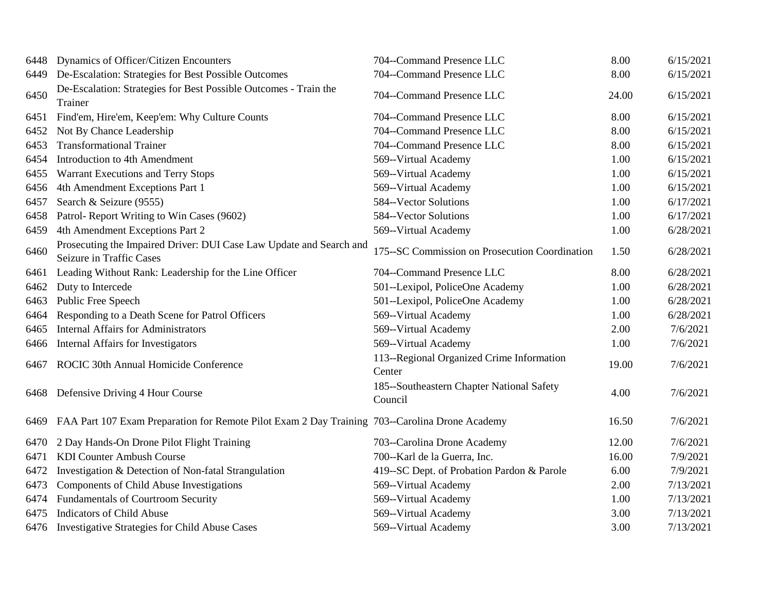| 6448 | Dynamics of Officer/Citizen Encounters                                                          | 704--Command Presence LLC                            | 8.00  | 6/15/2021 |
|------|-------------------------------------------------------------------------------------------------|------------------------------------------------------|-------|-----------|
| 6449 | De-Escalation: Strategies for Best Possible Outcomes                                            | 704--Command Presence LLC                            | 8.00  | 6/15/2021 |
| 6450 | De-Escalation: Strategies for Best Possible Outcomes - Train the<br>Trainer                     | 704--Command Presence LLC                            | 24.00 | 6/15/2021 |
| 6451 | Find'em, Hire'em, Keep'em: Why Culture Counts                                                   | 704--Command Presence LLC                            | 8.00  | 6/15/2021 |
| 6452 | Not By Chance Leadership                                                                        | 704--Command Presence LLC                            | 8.00  | 6/15/2021 |
| 6453 | <b>Transformational Trainer</b>                                                                 | 704--Command Presence LLC                            | 8.00  | 6/15/2021 |
| 6454 | Introduction to 4th Amendment                                                                   | 569--Virtual Academy                                 | 1.00  | 6/15/2021 |
| 6455 | Warrant Executions and Terry Stops                                                              | 569--Virtual Academy                                 | 1.00  | 6/15/2021 |
| 6456 | 4th Amendment Exceptions Part 1                                                                 | 569--Virtual Academy                                 | 1.00  | 6/15/2021 |
| 6457 | Search & Seizure (9555)                                                                         | 584--Vector Solutions                                | 1.00  | 6/17/2021 |
| 6458 | Patrol-Report Writing to Win Cases (9602)                                                       | 584--Vector Solutions                                | 1.00  | 6/17/2021 |
| 6459 | 4th Amendment Exceptions Part 2                                                                 | 569--Virtual Academy                                 | 1.00  | 6/28/2021 |
| 6460 | Prosecuting the Impaired Driver: DUI Case Law Update and Search and<br>Seizure in Traffic Cases | 175--SC Commission on Prosecution Coordination       | 1.50  | 6/28/2021 |
| 6461 | Leading Without Rank: Leadership for the Line Officer                                           | 704--Command Presence LLC                            | 8.00  | 6/28/2021 |
| 6462 | Duty to Intercede                                                                               | 501--Lexipol, PoliceOne Academy                      | 1.00  | 6/28/2021 |
| 6463 | Public Free Speech                                                                              | 501--Lexipol, PoliceOne Academy                      | 1.00  | 6/28/2021 |
| 6464 | Responding to a Death Scene for Patrol Officers                                                 | 569--Virtual Academy                                 | 1.00  | 6/28/2021 |
| 6465 | <b>Internal Affairs for Administrators</b>                                                      | 569--Virtual Academy                                 | 2.00  | 7/6/2021  |
| 6466 | Internal Affairs for Investigators                                                              | 569--Virtual Academy                                 | 1.00  | 7/6/2021  |
| 6467 | ROCIC 30th Annual Homicide Conference                                                           | 113--Regional Organized Crime Information<br>Center  | 19.00 | 7/6/2021  |
| 6468 | Defensive Driving 4 Hour Course                                                                 | 185--Southeastern Chapter National Safety<br>Council | 4.00  | 7/6/2021  |
| 6469 | FAA Part 107 Exam Preparation for Remote Pilot Exam 2 Day Training 703--Carolina Drone Academy  |                                                      | 16.50 | 7/6/2021  |
| 6470 | 2 Day Hands-On Drone Pilot Flight Training                                                      | 703--Carolina Drone Academy                          | 12.00 | 7/6/2021  |
| 6471 | <b>KDI Counter Ambush Course</b>                                                                | 700--Karl de la Guerra, Inc.                         | 16.00 | 7/9/2021  |
| 6472 | Investigation & Detection of Non-fatal Strangulation                                            | 419--SC Dept. of Probation Pardon & Parole           | 6.00  | 7/9/2021  |
| 6473 | Components of Child Abuse Investigations                                                        | 569--Virtual Academy                                 | 2.00  | 7/13/2021 |
| 6474 | <b>Fundamentals of Courtroom Security</b>                                                       | 569--Virtual Academy                                 | 1.00  | 7/13/2021 |
| 6475 | <b>Indicators of Child Abuse</b>                                                                | 569--Virtual Academy                                 | 3.00  | 7/13/2021 |
|      | 6476 Investigative Strategies for Child Abuse Cases                                             | 569--Virtual Academy                                 | 3.00  | 7/13/2021 |
|      |                                                                                                 |                                                      |       |           |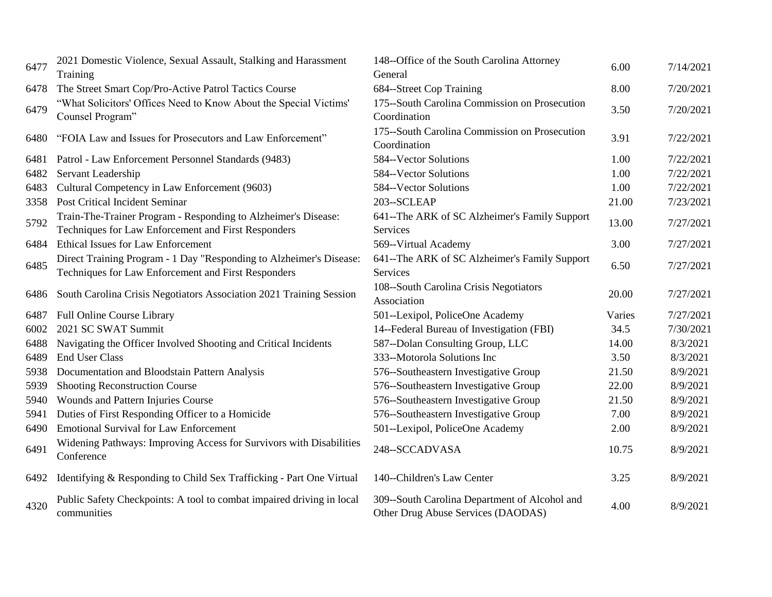| 6477 | 2021 Domestic Violence, Sexual Assault, Stalking and Harassment<br>Training                                                | 148--Office of the South Carolina Attorney<br>General                               | 6.00   | 7/14/2021 |
|------|----------------------------------------------------------------------------------------------------------------------------|-------------------------------------------------------------------------------------|--------|-----------|
| 6478 | The Street Smart Cop/Pro-Active Patrol Tactics Course                                                                      | 684--Street Cop Training                                                            | 8.00   | 7/20/2021 |
| 6479 | "What Solicitors' Offices Need to Know About the Special Victims'<br>Counsel Program"                                      | 175-South Carolina Commission on Prosecution<br>Coordination                        | 3.50   | 7/20/2021 |
| 6480 | "FOIA Law and Issues for Prosecutors and Law Enforcement"                                                                  | 175-South Carolina Commission on Prosecution<br>Coordination                        | 3.91   | 7/22/2021 |
| 6481 | Patrol - Law Enforcement Personnel Standards (9483)                                                                        | 584--Vector Solutions                                                               | 1.00   | 7/22/2021 |
| 6482 | Servant Leadership                                                                                                         | 584--Vector Solutions                                                               | 1.00   | 7/22/2021 |
| 6483 | Cultural Competency in Law Enforcement (9603)                                                                              | 584--Vector Solutions                                                               | 1.00   | 7/22/2021 |
| 3358 | Post Critical Incident Seminar                                                                                             | 203--SCLEAP                                                                         | 21.00  | 7/23/2021 |
| 5792 | Train-The-Trainer Program - Responding to Alzheimer's Disease:<br>Techniques for Law Enforcement and First Responders      | 641--The ARK of SC Alzheimer's Family Support<br>Services                           | 13.00  | 7/27/2021 |
| 6484 | <b>Ethical Issues for Law Enforcement</b>                                                                                  | 569--Virtual Academy                                                                | 3.00   | 7/27/2021 |
| 6485 | Direct Training Program - 1 Day "Responding to Alzheimer's Disease:<br>Techniques for Law Enforcement and First Responders | 641--The ARK of SC Alzheimer's Family Support<br>Services                           | 6.50   | 7/27/2021 |
| 6486 | South Carolina Crisis Negotiators Association 2021 Training Session                                                        | 108-South Carolina Crisis Negotiators<br>Association                                | 20.00  | 7/27/2021 |
| 6487 | Full Online Course Library                                                                                                 | 501--Lexipol, PoliceOne Academy                                                     | Varies | 7/27/2021 |
| 6002 | 2021 SC SWAT Summit                                                                                                        | 14--Federal Bureau of Investigation (FBI)                                           | 34.5   | 7/30/2021 |
| 6488 | Navigating the Officer Involved Shooting and Critical Incidents                                                            | 587--Dolan Consulting Group, LLC                                                    | 14.00  | 8/3/2021  |
| 6489 | <b>End User Class</b>                                                                                                      | 333--Motorola Solutions Inc                                                         | 3.50   | 8/3/2021  |
| 5938 | Documentation and Bloodstain Pattern Analysis                                                                              | 576-Southeastern Investigative Group                                                | 21.50  | 8/9/2021  |
| 5939 | <b>Shooting Reconstruction Course</b>                                                                                      | 576-Southeastern Investigative Group                                                | 22.00  | 8/9/2021  |
| 5940 | Wounds and Pattern Injuries Course                                                                                         | 576-Southeastern Investigative Group                                                | 21.50  | 8/9/2021  |
| 5941 | Duties of First Responding Officer to a Homicide                                                                           | 576-Southeastern Investigative Group                                                | 7.00   | 8/9/2021  |
| 6490 | <b>Emotional Survival for Law Enforcement</b>                                                                              | 501--Lexipol, PoliceOne Academy                                                     | 2.00   | 8/9/2021  |
| 6491 | Widening Pathways: Improving Access for Survivors with Disabilities<br>Conference                                          | 248--SCCADVASA                                                                      | 10.75  | 8/9/2021  |
|      | 6492 Identifying & Responding to Child Sex Trafficking - Part One Virtual                                                  | 140--Children's Law Center                                                          | 3.25   | 8/9/2021  |
| 4320 | Public Safety Checkpoints: A tool to combat impaired driving in local<br>communities                                       | 309--South Carolina Department of Alcohol and<br>Other Drug Abuse Services (DAODAS) | 4.00   | 8/9/2021  |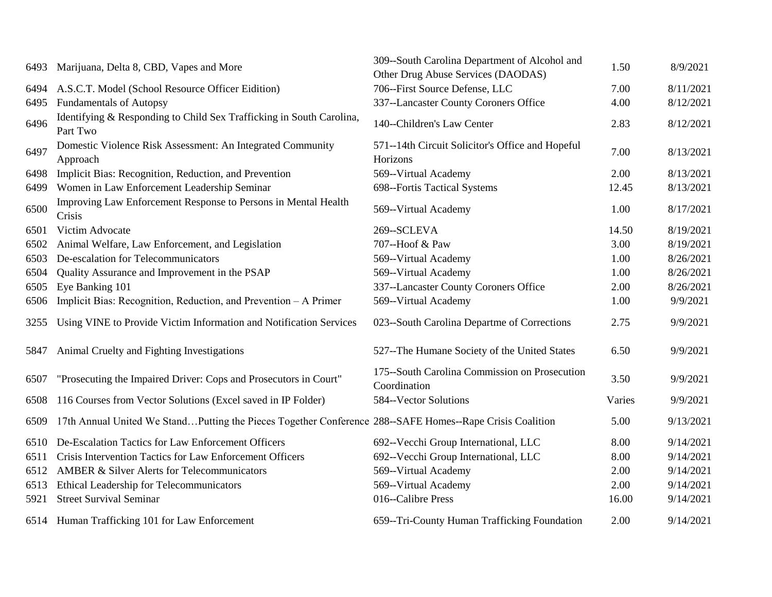| 6493 | Marijuana, Delta 8, CBD, Vapes and More                                                                  | 309-South Carolina Department of Alcohol and<br>Other Drug Abuse Services (DAODAS) | 1.50   | 8/9/2021  |
|------|----------------------------------------------------------------------------------------------------------|------------------------------------------------------------------------------------|--------|-----------|
| 6494 | A.S.C.T. Model (School Resource Officer Eidition)                                                        | 706--First Source Defense, LLC                                                     | 7.00   | 8/11/2021 |
| 6495 | <b>Fundamentals of Autopsy</b>                                                                           | 337--Lancaster County Coroners Office                                              | 4.00   | 8/12/2021 |
| 6496 | Identifying & Responding to Child Sex Trafficking in South Carolina,<br>Part Two                         | 140--Children's Law Center                                                         | 2.83   | 8/12/2021 |
| 6497 | Domestic Violence Risk Assessment: An Integrated Community<br>Approach                                   | 571--14th Circuit Solicitor's Office and Hopeful<br>Horizons                       | 7.00   | 8/13/2021 |
| 6498 | Implicit Bias: Recognition, Reduction, and Prevention                                                    | 569--Virtual Academy                                                               | 2.00   | 8/13/2021 |
| 6499 | Women in Law Enforcement Leadership Seminar                                                              | 698--Fortis Tactical Systems                                                       | 12.45  | 8/13/2021 |
| 6500 | Improving Law Enforcement Response to Persons in Mental Health<br>Crisis                                 | 569--Virtual Academy                                                               | 1.00   | 8/17/2021 |
| 6501 | Victim Advocate                                                                                          | 269--SCLEVA                                                                        | 14.50  | 8/19/2021 |
| 6502 | Animal Welfare, Law Enforcement, and Legislation                                                         | 707--Hoof & Paw                                                                    | 3.00   | 8/19/2021 |
| 6503 | De-escalation for Telecommunicators                                                                      | 569--Virtual Academy                                                               | 1.00   | 8/26/2021 |
| 6504 | Quality Assurance and Improvement in the PSAP                                                            | 569--Virtual Academy                                                               | 1.00   | 8/26/2021 |
| 6505 | Eye Banking 101                                                                                          | 337--Lancaster County Coroners Office                                              | 2.00   | 8/26/2021 |
| 6506 | Implicit Bias: Recognition, Reduction, and Prevention - A Primer                                         | 569--Virtual Academy                                                               | 1.00   | 9/9/2021  |
| 3255 | Using VINE to Provide Victim Information and Notification Services                                       | 023--South Carolina Departme of Corrections                                        | 2.75   | 9/9/2021  |
| 5847 | Animal Cruelty and Fighting Investigations                                                               | 527--The Humane Society of the United States                                       | 6.50   | 9/9/2021  |
| 6507 | "Prosecuting the Impaired Driver: Cops and Prosecutors in Court"                                         | 175-South Carolina Commission on Prosecution<br>Coordination                       | 3.50   | 9/9/2021  |
| 6508 | 116 Courses from Vector Solutions (Excel saved in IP Folder)                                             | 584--Vector Solutions                                                              | Varies | 9/9/2021  |
| 6509 | 17th Annual United We StandPutting the Pieces Together Conference 288--SAFE Homes--Rape Crisis Coalition |                                                                                    | 5.00   | 9/13/2021 |
| 6510 | De-Escalation Tactics for Law Enforcement Officers                                                       | 692--Vecchi Group International, LLC                                               | 8.00   | 9/14/2021 |
| 6511 | Crisis Intervention Tactics for Law Enforcement Officers                                                 | 692--Vecchi Group International, LLC                                               | 8.00   | 9/14/2021 |
| 6512 | AMBER & Silver Alerts for Telecommunicators                                                              | 569--Virtual Academy                                                               | 2.00   | 9/14/2021 |
| 6513 | Ethical Leadership for Telecommunicators                                                                 | 569--Virtual Academy                                                               | 2.00   | 9/14/2021 |
| 5921 | <b>Street Survival Seminar</b>                                                                           | 016-Calibre Press                                                                  | 16.00  | 9/14/2021 |
|      | 6514 Human Trafficking 101 for Law Enforcement                                                           | 659--Tri-County Human Trafficking Foundation                                       | 2.00   | 9/14/2021 |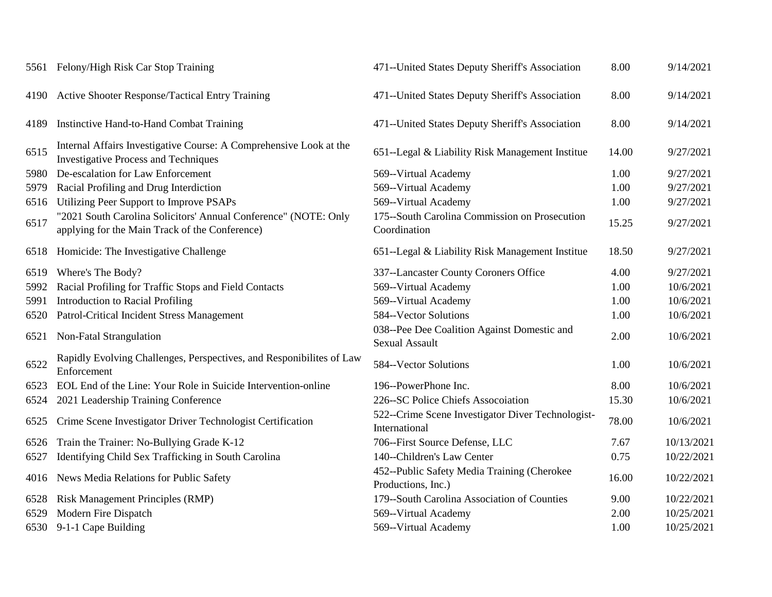| 5561 Felony/High Risk Car Stop Training                                                                           | 471--United States Deputy Sheriff's Association                      | 8.00  | 9/14/2021  |
|-------------------------------------------------------------------------------------------------------------------|----------------------------------------------------------------------|-------|------------|
| <b>Active Shooter Response/Tactical Entry Training</b>                                                            | 471--United States Deputy Sheriff's Association                      | 8.00  | 9/14/2021  |
| Instinctive Hand-to-Hand Combat Training                                                                          | 471--United States Deputy Sheriff's Association                      | 8.00  | 9/14/2021  |
| Internal Affairs Investigative Course: A Comprehensive Look at the<br><b>Investigative Process and Techniques</b> | 651--Legal & Liability Risk Management Institue                      | 14.00 | 9/27/2021  |
| De-escalation for Law Enforcement<br>5980                                                                         | 569--Virtual Academy                                                 | 1.00  | 9/27/2021  |
| Racial Profiling and Drug Interdiction                                                                            | 569--Virtual Academy                                                 | 1.00  | 9/27/2021  |
| Utilizing Peer Support to Improve PSAPs                                                                           | 569--Virtual Academy                                                 | 1.00  | 9/27/2021  |
| "2021 South Carolina Solicitors' Annual Conference" (NOTE: Only<br>applying for the Main Track of the Conference) | 175-South Carolina Commission on Prosecution<br>Coordination         | 15.25 | 9/27/2021  |
| Homicide: The Investigative Challenge                                                                             | 651--Legal & Liability Risk Management Institue                      | 18.50 | 9/27/2021  |
| Where's The Body?                                                                                                 | 337--Lancaster County Coroners Office                                | 4.00  | 9/27/2021  |
| Racial Profiling for Traffic Stops and Field Contacts                                                             | 569--Virtual Academy                                                 | 1.00  | 10/6/2021  |
| Introduction to Racial Profiling                                                                                  | 569--Virtual Academy                                                 | 1.00  | 10/6/2021  |
| Patrol-Critical Incident Stress Management                                                                        | 584--Vector Solutions                                                | 1.00  | 10/6/2021  |
| Non-Fatal Strangulation                                                                                           | 038--Pee Dee Coalition Against Domestic and<br><b>Sexual Assault</b> | 2.00  | 10/6/2021  |
| Rapidly Evolving Challenges, Perspectives, and Responibilites of Law<br>Enforcement                               | 584--Vector Solutions                                                | 1.00  | 10/6/2021  |
| EOL End of the Line: Your Role in Suicide Intervention-online                                                     | 196--PowerPhone Inc.                                                 | 8.00  | 10/6/2021  |
| 2021 Leadership Training Conference                                                                               | 226--SC Police Chiefs Assocoiation                                   | 15.30 | 10/6/2021  |
| Crime Scene Investigator Driver Technologist Certification                                                        | 522--Crime Scene Investigator Diver Technologist-<br>International   | 78.00 | 10/6/2021  |
| Train the Trainer: No-Bullying Grade K-12                                                                         | 706--First Source Defense, LLC                                       | 7.67  | 10/13/2021 |
| Identifying Child Sex Trafficking in South Carolina                                                               | 140--Children's Law Center                                           | 0.75  | 10/22/2021 |
| News Media Relations for Public Safety                                                                            | 452--Public Safety Media Training (Cherokee<br>Productions, Inc.)    | 16.00 | 10/22/2021 |
| Risk Management Principles (RMP)                                                                                  | 179--South Carolina Association of Counties                          | 9.00  | 10/22/2021 |
| Modern Fire Dispatch                                                                                              | 569--Virtual Academy                                                 | 2.00  | 10/25/2021 |
| 9-1-1 Cape Building<br>6530                                                                                       | 569--Virtual Academy                                                 | 1.00  | 10/25/2021 |
|                                                                                                                   |                                                                      |       |            |